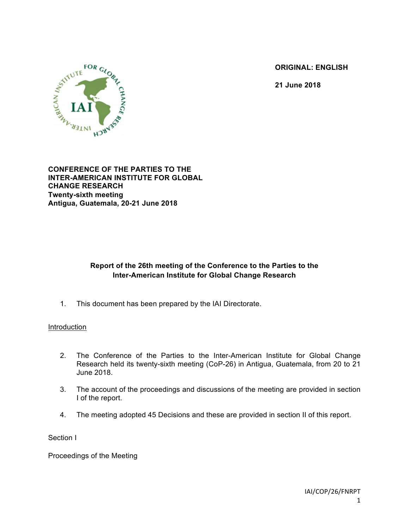**ORIGINAL: ENGLISH**

**21 June 2018**



**CONFERENCE OF THE PARTIES TO THE INTER-AMERICAN INSTITUTE FOR GLOBAL CHANGE RESEARCH Twenty-sixth meeting Antigua, Guatemala, 20-21 June 2018**

# **Report of the 26th meeting of the Conference to the Parties to the Inter-American Institute for Global Change Research**

1. This document has been prepared by the IAI Directorate.

## **Introduction**

- 2. The Conference of the Parties to the Inter-American Institute for Global Change Research held its twenty-sixth meeting (CoP-26) in Antigua, Guatemala, from 20 to 21 June 2018.
- 3. The account of the proceedings and discussions of the meeting are provided in section I of the report.
- 4. The meeting adopted 45 Decisions and these are provided in section II of this report.

Section I

Proceedings of the Meeting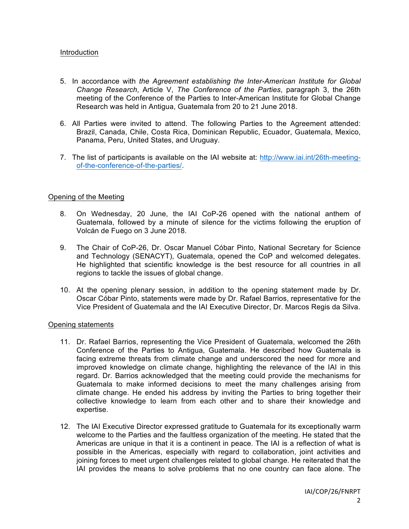## Introduction

- 5. In accordance with *the Agreement establishing the Inter-American Institute for Global Change Research*, Article V, *The Conference of the Parties*, paragraph 3, the 26th meeting of the Conference of the Parties to Inter-American Institute for Global Change Research was held in Antigua, Guatemala from 20 to 21 June 2018.
- 6. All Parties were invited to attend. The following Parties to the Agreement attended: Brazil, Canada, Chile, Costa Rica, Dominican Republic, Ecuador, Guatemala, Mexico, Panama, Peru, United States, and Uruguay.
- 7. The list of participants is available on the IAI website at: http://www.iai.int/26th-meetingof-the-conference-of-the-parties/.

## Opening of the Meeting

- 8. On Wednesday, 20 June, the IAI CoP-26 opened with the national anthem of Guatemala, followed by a minute of silence for the victims following the eruption of Volcán de Fuego on 3 June 2018.
- 9. The Chair of CoP-26, Dr. Oscar Manuel Cóbar Pinto, National Secretary for Science and Technology (SENACYT), Guatemala, opened the CoP and welcomed delegates. He highlighted that scientific knowledge is the best resource for all countries in all regions to tackle the issues of global change.
- 10. At the opening plenary session, in addition to the opening statement made by Dr. Oscar Cóbar Pinto, statements were made by Dr. Rafael Barrios, representative for the Vice President of Guatemala and the IAI Executive Director, Dr. Marcos Regis da Silva.

### Opening statements

- 11. Dr. Rafael Barrios, representing the Vice President of Guatemala, welcomed the 26th Conference of the Parties to Antigua, Guatemala. He described how Guatemala is facing extreme threats from climate change and underscored the need for more and improved knowledge on climate change, highlighting the relevance of the IAI in this regard. Dr. Barrios acknowledged that the meeting could provide the mechanisms for Guatemala to make informed decisions to meet the many challenges arising from climate change. He ended his address by inviting the Parties to bring together their collective knowledge to learn from each other and to share their knowledge and expertise.
- 12. The IAI Executive Director expressed gratitude to Guatemala for its exceptionally warm welcome to the Parties and the faultless organization of the meeting. He stated that the Americas are unique in that it is a continent in peace. The IAI is a reflection of what is possible in the Americas, especially with regard to collaboration, joint activities and joining forces to meet urgent challenges related to global change. He reiterated that the IAI provides the means to solve problems that no one country can face alone. The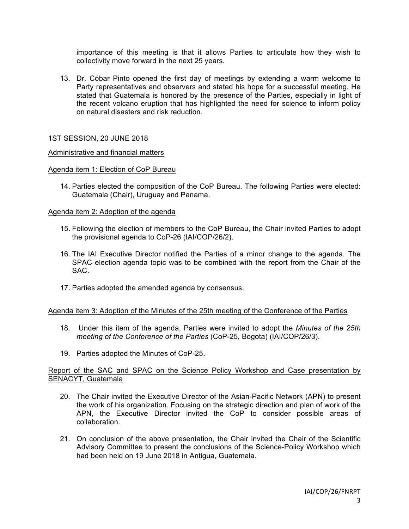importance of this meeting is that it allows Parties to articulate how they wish to collectivity move forward in the next 25 years.

13. Dr. Cóbar Pinto opened the first day of meetings by extending a warm welcome to Party representatives and observers and stated his hope for a successful meeting. He stated that Guatemala is honored by the presence of the Parties, especially in light of the recent volcano eruption that has highlighted the need for science to inform policy on natural disasters and risk reduction.

## 1ST SESSION, 20 JUNE 2018

### Administrative and financial matters

### Agenda item 1: Election of CoP Bureau

14. Parties elected the composition of the CoP Bureau. The following Parties were elected: Guatemala (Chair), Uruguay and Panama.

## Agenda item 2: Adoption of the agenda

- 15. Following the election of members to the CoP Bureau, the Chair invited Parties to adopt the provisional agenda to CoP-26 (IAI/COP/26/2).
- 16. The IAI Executive Director notified the Parties of a minor change to the agenda. The SPAC election agenda topic was to be combined with the report from the Chair of the SAC.
- 17. Parties adopted the amended agenda by consensus.

## Agenda item 3: Adoption of the Minutes of the 25th meeting of the Conference of the Parties

- 18. Under this item of the agenda, Parties were invited to adopt the *Minutes of the 25th meeting of the Conference of the Parties* (CoP-25, Bogota) (IAI/COP/26/3).
- 19. Parties adopted the Minutes of CoP-25.

## Report of the SAC and SPAC on the Science Policy Workshop and Case presentation by SENACYT, Guatemala

- 20. The Chair invited the Executive Director of the Asian-Pacific Network (APN) to present the work of his organization. Focusing on the strategic direction and plan of work of the APN, the Executive Director invited the CoP to consider possible areas of collaboration.
- 21. On conclusion of the above presentation, the Chair invited the Chair of the Scientific Advisory Committee to present the conclusions of the Science-Policy Workshop which had been held on 19 June 2018 in Antigua, Guatemala.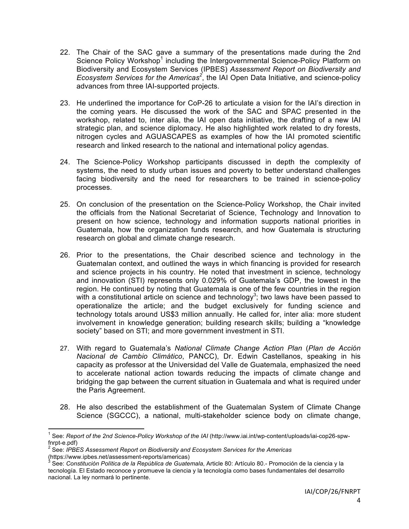- 22. The Chair of the SAC gave a summary of the presentations made during the 2nd Science Policy Workshop<sup>1</sup> including the Intergovernmental Science-Policy Platform on Biodiversity and Ecosystem Services (IPBES) *Assessment Report on Biodiversity and Ecosystem Services for the Americas<sup>2</sup>* , the IAI Open Data Initiative, and science-policy advances from three IAI-supported projects.
- 23. He underlined the importance for CoP-26 to articulate a vision for the IAI's direction in the coming years. He discussed the work of the SAC and SPAC presented in the workshop, related to, inter alia, the IAI open data initiative, the drafting of a new IAI strategic plan, and science diplomacy. He also highlighted work related to dry forests, nitrogen cycles and AGUASCAPES as examples of how the IAI promoted scientific research and linked research to the national and international policy agendas.
- 24. The Science-Policy Workshop participants discussed in depth the complexity of systems, the need to study urban issues and poverty to better understand challenges facing biodiversity and the need for researchers to be trained in science-policy processes.
- 25. On conclusion of the presentation on the Science-Policy Workshop, the Chair invited the officials from the National Secretariat of Science, Technology and Innovation to present on how science, technology and information supports national priorities in Guatemala, how the organization funds research, and how Guatemala is structuring research on global and climate change research.
- 26. Prior to the presentations, the Chair described science and technology in the Guatemalan context, and outlined the ways in which financing is provided for research and science projects in his country. He noted that investment in science, technology and innovation (STI) represents only 0.029% of Guatemala's GDP, the lowest in the region. He continued by noting that Guatemala is one of the few countries in the region with a constitutional article on science and technology<sup>3</sup>; two laws have been passed to operationalize the article; and the budget exclusively for funding science and technology totals around US\$3 million annually. He called for, inter alia: more student involvement in knowledge generation; building research skills; building a "knowledge society" based on STI; and more government investment in STI.
- 27. With regard to Guatemala's *National Climate Change Action Plan* (*Plan de Acción Nacional de Cambio Climático*, PANCC), Dr. Edwin Castellanos, speaking in his capacity as professor at the Universidad del Valle de Guatemala, emphasized the need to accelerate national action towards reducing the impacts of climate change and bridging the gap between the current situation in Guatemala and what is required under the Paris Agreement.
- 28. He also described the establishment of the Guatemalan System of Climate Change Science (SGCCC), a national, multi-stakeholder science body on climate change,

 <sup>1</sup> See: *Report of the 2nd Science-Policy Workshop of the IAI* (http://www.iai.int/wp-content/uploads/iai-cop26-spwfnrpt-e.pdf) <sup>2</sup> See: *IPBES Assessment Report on Biodiversity and Ecosystem Services for the Americas*

<sup>(</sup>https://www.ipbes.net/assessment-reports/americas) <sup>3</sup> See: *Constitución Política de la República de Guatemala*, Article 80: Artículo 80.- Promoción de la ciencia y la

tecnología. El Estado reconoce y promueve la ciencia y la tecnología como bases fundamentales del desarrollo nacional. La ley normará lo pertinente.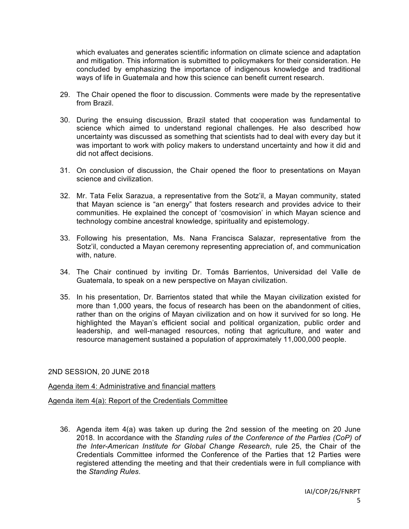which evaluates and generates scientific information on climate science and adaptation and mitigation. This information is submitted to policymakers for their consideration. He concluded by emphasizing the importance of indigenous knowledge and traditional ways of life in Guatemala and how this science can benefit current research.

- 29. The Chair opened the floor to discussion. Comments were made by the representative from Brazil.
- 30. During the ensuing discussion, Brazil stated that cooperation was fundamental to science which aimed to understand regional challenges. He also described how uncertainty was discussed as something that scientists had to deal with every day but it was important to work with policy makers to understand uncertainty and how it did and did not affect decisions.
- 31. On conclusion of discussion, the Chair opened the floor to presentations on Mayan science and civilization.
- 32. Mr. Tata Felix Sarazua, a representative from the Sotz'il, a Mayan community, stated that Mayan science is "an energy" that fosters research and provides advice to their communities. He explained the concept of 'cosmovision' in which Mayan science and technology combine ancestral knowledge, spirituality and epistemology.
- 33. Following his presentation, Ms. Nana Francisca Salazar, representative from the Sotz'il, conducted a Mayan ceremony representing appreciation of, and communication with, nature.
- 34. The Chair continued by inviting Dr. Tomás Barrientos, Universidad del Valle de Guatemala, to speak on a new perspective on Mayan civilization.
- 35. In his presentation, Dr. Barrientos stated that while the Mayan civilization existed for more than 1,000 years, the focus of research has been on the abandonment of cities, rather than on the origins of Mayan civilization and on how it survived for so long. He highlighted the Mayan's efficient social and political organization, public order and leadership, and well-managed resources, noting that agriculture, and water and resource management sustained a population of approximately 11,000,000 people.

### 2ND SESSION, 20 JUNE 2018

### Agenda item 4: Administrative and financial matters

## Agenda item 4(a): Report of the Credentials Committee

36. Agenda item 4(a) was taken up during the 2nd session of the meeting on 20 June 2018. In accordance with the *Standing rules of the Conference of the Parties (CoP) of the Inter-American Institute for Global Change Research*, rule 25, the Chair of the Credentials Committee informed the Conference of the Parties that 12 Parties were registered attending the meeting and that their credentials were in full compliance with the *Standing Rules*.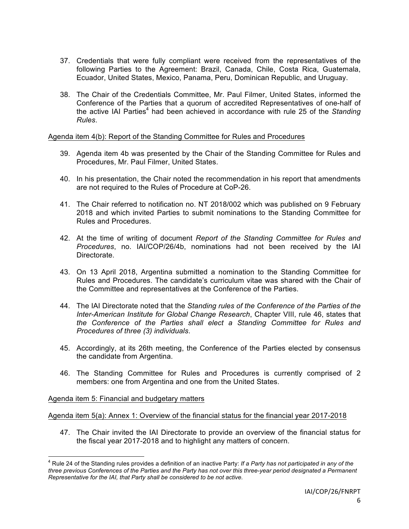- 37. Credentials that were fully compliant were received from the representatives of the following Parties to the Agreement: Brazil, Canada, Chile, Costa Rica, Guatemala, Ecuador, United States, Mexico, Panama, Peru, Dominican Republic, and Uruguay.
- 38. The Chair of the Credentials Committee, Mr. Paul Filmer, United States, informed the Conference of the Parties that a quorum of accredited Representatives of one-half of the active IAI Parties<sup>4</sup> had been achieved in accordance with rule 25 of the *Standing Rules*.

### Agenda item 4(b): Report of the Standing Committee for Rules and Procedures

- 39. Agenda item 4b was presented by the Chair of the Standing Committee for Rules and Procedures, Mr. Paul Filmer, United States.
- 40. In his presentation, the Chair noted the recommendation in his report that amendments are not required to the Rules of Procedure at CoP-26.
- 41. The Chair referred to notification no. NT 2018/002 which was published on 9 February 2018 and which invited Parties to submit nominations to the Standing Committee for Rules and Procedures.
- 42. At the time of writing of document *Report of the Standing Committee for Rules and Procedures*, no. IAI/COP/26/4b, nominations had not been received by the IAI Directorate.
- 43. On 13 April 2018, Argentina submitted a nomination to the Standing Committee for Rules and Procedures. The candidate's curriculum vitae was shared with the Chair of the Committee and representatives at the Conference of the Parties.
- 44. The IAI Directorate noted that the *Standing rules of the Conference of the Parties of the Inter-American Institute for Global Change Research*, Chapter VIII, rule 46, states that *the Conference of the Parties shall elect a Standing Committee for Rules and Procedures of three (3) individuals*.
- 45. Accordingly, at its 26th meeting, the Conference of the Parties elected by consensus the candidate from Argentina.
- 46. The Standing Committee for Rules and Procedures is currently comprised of 2 members: one from Argentina and one from the United States.

#### Agenda item 5: Financial and budgetary matters

## Agenda item 5(a): Annex 1: Overview of the financial status for the financial year 2017-2018

47. The Chair invited the IAI Directorate to provide an overview of the financial status for the fiscal year 2017-2018 and to highlight any matters of concern.

 <sup>4</sup> Rule 24 of the Standing rules provides a definition of an inactive Party: *If a Party has not participated in any of the three previous Conferences of the Parties and the Party has not over this three-year period designated a Permanent Representative for the IAI, that Party shall be considered to be not active.*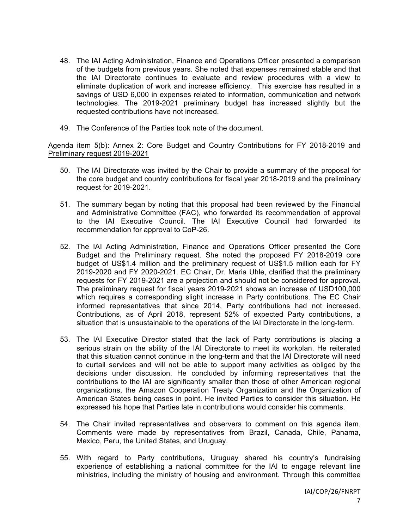- 48. The IAI Acting Administration, Finance and Operations Officer presented a comparison of the budgets from previous years. She noted that expenses remained stable and that the IAI Directorate continues to evaluate and review procedures with a view to eliminate duplication of work and increase efficiency. This exercise has resulted in a savings of USD 6,000 in expenses related to information, communication and network technologies. The 2019-2021 preliminary budget has increased slightly but the requested contributions have not increased.
- 49. The Conference of the Parties took note of the document.

Agenda item 5(b): Annex 2: Core Budget and Country Contributions for FY 2018-2019 and Preliminary request 2019-2021

- 50. The IAI Directorate was invited by the Chair to provide a summary of the proposal for the core budget and country contributions for fiscal year 2018-2019 and the preliminary request for 2019-2021.
- 51. The summary began by noting that this proposal had been reviewed by the Financial and Administrative Committee (FAC), who forwarded its recommendation of approval to the IAI Executive Council. The IAI Executive Council had forwarded its recommendation for approval to CoP-26.
- 52. The IAI Acting Administration, Finance and Operations Officer presented the Core Budget and the Preliminary request. She noted the proposed FY 2018-2019 core budget of US\$1.4 million and the preliminary request of US\$1.5 million each for FY 2019-2020 and FY 2020-2021. EC Chair, Dr. Maria Uhle, clarified that the preliminary requests for FY 2019-2021 are a projection and should not be considered for approval. The preliminary request for fiscal years 2019-2021 shows an increase of USD100,000 which requires a corresponding slight increase in Party contributions. The EC Chair informed representatives that since 2014, Party contributions had not increased. Contributions, as of April 2018, represent 52% of expected Party contributions, a situation that is unsustainable to the operations of the IAI Directorate in the long-term.
- 53. The IAI Executive Director stated that the lack of Party contributions is placing a serious strain on the ability of the IAI Directorate to meet its workplan. He reiterated that this situation cannot continue in the long-term and that the IAI Directorate will need to curtail services and will not be able to support many activities as obliged by the decisions under discussion. He concluded by informing representatives that the contributions to the IAI are significantly smaller than those of other American regional organizations, the Amazon Cooperation Treaty Organization and the Organization of American States being cases in point. He invited Parties to consider this situation. He expressed his hope that Parties late in contributions would consider his comments.
- 54. The Chair invited representatives and observers to comment on this agenda item. Comments were made by representatives from Brazil, Canada, Chile, Panama, Mexico, Peru, the United States, and Uruguay.
- 55. With regard to Party contributions, Uruguay shared his country's fundraising experience of establishing a national committee for the IAI to engage relevant line ministries, including the ministry of housing and environment. Through this committee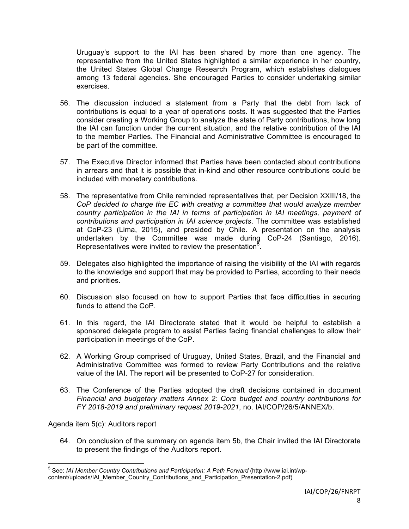Uruguay's support to the IAI has been shared by more than one agency. The representative from the United States highlighted a similar experience in her country, the United States Global Change Research Program, which establishes dialogues among 13 federal agencies. She encouraged Parties to consider undertaking similar exercises.

- 56. The discussion included a statement from a Party that the debt from lack of contributions is equal to a year of operations costs. It was suggested that the Parties consider creating a Working Group to analyze the state of Party contributions, how long the IAI can function under the current situation, and the relative contribution of the IAI to the member Parties. The Financial and Administrative Committee is encouraged to be part of the committee.
- 57. The Executive Director informed that Parties have been contacted about contributions in arrears and that it is possible that in-kind and other resource contributions could be included with monetary contributions.
- 58. The representative from Chile reminded representatives that, per Decision XXIII/18, the *CoP decided to charge the EC with creating a committee that would analyze member country participation in the IAI in terms of participation in IAI meetings, payment of contributions and participation in IAI science projects*. The committee was established at CoP-23 (Lima, 2015), and presided by Chile. A presentation on the analysis undertaken by the Committee was made during CoP-24 (Santiago, 2016). Representatives were invited to review the presentation<sup>5</sup>.
- 59. Delegates also highlighted the importance of raising the visibility of the IAI with regards to the knowledge and support that may be provided to Parties, according to their needs and priorities.
- 60. Discussion also focused on how to support Parties that face difficulties in securing funds to attend the CoP.
- 61. In this regard, the IAI Directorate stated that it would be helpful to establish a sponsored delegate program to assist Parties facing financial challenges to allow their participation in meetings of the CoP.
- 62. A Working Group comprised of Uruguay, United States, Brazil, and the Financial and Administrative Committee was formed to review Party Contributions and the relative value of the IAI. The report will be presented to CoP-27 for consideration.
- 63. The Conference of the Parties adopted the draft decisions contained in document *Financial and budgetary matters Annex 2: Core budget and country contributions for FY 2018-2019 and preliminary request 2019-2021*, no. IAI/COP/26/5/ANNEX/b.

## Agenda item 5(c): Auditors report

64. On conclusion of the summary on agenda item 5b, the Chair invited the IAI Directorate to present the findings of the Auditors report.

 <sup>5</sup> See: *IAI Member Country Contributions and Participation: A Path Forward* (http://www.iai.int/wpcontent/uploads/IAI\_Member\_Country\_Contributions\_and\_Participation\_Presentation-2.pdf)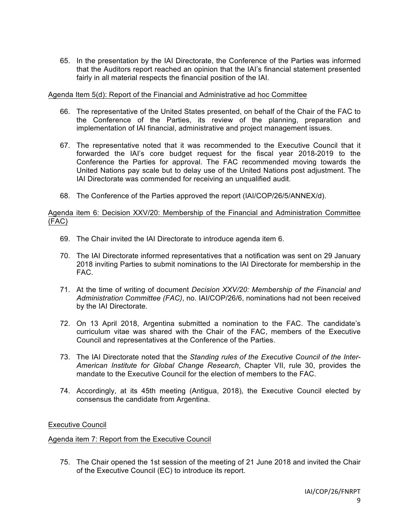65. In the presentation by the IAI Directorate, the Conference of the Parties was informed that the Auditors report reached an opinion that the IAI's financial statement presented fairly in all material respects the financial position of the IAI.

### Agenda Item 5(d): Report of the Financial and Administrative ad hoc Committee

- 66. The representative of the United States presented, on behalf of the Chair of the FAC to the Conference of the Parties, its review of the planning, preparation and implementation of IAI financial, administrative and project management issues.
- 67. The representative noted that it was recommended to the Executive Council that it forwarded the IAI's core budget request for the fiscal year 2018-2019 to the Conference the Parties for approval. The FAC recommended moving towards the United Nations pay scale but to delay use of the United Nations post adjustment. The IAI Directorate was commended for receiving an unqualified audit.
- 68. The Conference of the Parties approved the report (IAI/COP/26/5/ANNEX/d).

## Agenda item 6: Decision XXV/20: Membership of the Financial and Administration Committee (FAC)

- 69. The Chair invited the IAI Directorate to introduce agenda item 6.
- 70. The IAI Directorate informed representatives that a notification was sent on 29 January 2018 inviting Parties to submit nominations to the IAI Directorate for membership in the FAC.
- 71. At the time of writing of document *Decision XXV/20: Membership of the Financial and Administration Committee (FAC)*, no. IAI/COP/26/6, nominations had not been received by the IAI Directorate.
- 72. On 13 April 2018, Argentina submitted a nomination to the FAC. The candidate's curriculum vitae was shared with the Chair of the FAC, members of the Executive Council and representatives at the Conference of the Parties.
- 73. The IAI Directorate noted that the *Standing rules of the Executive Council of the Inter-American Institute for Global Change Research*, Chapter VII, rule 30, provides the mandate to the Executive Council for the election of members to the FAC.
- 74. Accordingly, at its 45th meeting (Antigua, 2018), the Executive Council elected by consensus the candidate from Argentina.

## Executive Council

## Agenda item 7: Report from the Executive Council

75. The Chair opened the 1st session of the meeting of 21 June 2018 and invited the Chair of the Executive Council (EC) to introduce its report.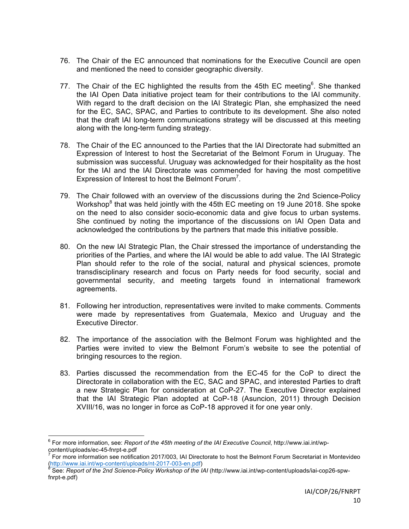- 76. The Chair of the EC announced that nominations for the Executive Council are open and mentioned the need to consider geographic diversity.
- 77. The Chair of the EC highlighted the results from the 45th EC meeting $6$ . She thanked the IAI Open Data initiative project team for their contributions to the IAI community. With regard to the draft decision on the IAI Strategic Plan, she emphasized the need for the EC, SAC, SPAC, and Parties to contribute to its development. She also noted that the draft IAI long-term communications strategy will be discussed at this meeting along with the long-term funding strategy.
- 78. The Chair of the EC announced to the Parties that the IAI Directorate had submitted an Expression of Interest to host the Secretariat of the Belmont Forum in Uruguay. The submission was successful. Uruguay was acknowledged for their hospitality as the host for the IAI and the IAI Directorate was commended for having the most competitive Expression of Interest to host the Belmont Forum<sup>7</sup>.
- 79. The Chair followed with an overview of the discussions during the 2nd Science-Policy Workshop $<sup>8</sup>$  that was held jointly with the 45th EC meeting on 19 June 2018. She spoke</sup> on the need to also consider socio-economic data and give focus to urban systems. She continued by noting the importance of the discussions on IAI Open Data and acknowledged the contributions by the partners that made this initiative possible.
- 80. On the new IAI Strategic Plan, the Chair stressed the importance of understanding the priorities of the Parties, and where the IAI would be able to add value. The IAI Strategic Plan should refer to the role of the social, natural and physical sciences, promote transdisciplinary research and focus on Party needs for food security, social and governmental security, and meeting targets found in international framework agreements.
- 81. Following her introduction, representatives were invited to make comments. Comments were made by representatives from Guatemala, Mexico and Uruguay and the Executive Director.
- 82. The importance of the association with the Belmont Forum was highlighted and the Parties were invited to view the Belmont Forum's website to see the potential of bringing resources to the region.
- 83. Parties discussed the recommendation from the EC-45 for the CoP to direct the Directorate in collaboration with the EC, SAC and SPAC, and interested Parties to draft a new Strategic Plan for consideration at CoP-27. The Executive Director explained that the IAI Strategic Plan adopted at CoP-18 (Asuncion, 2011) through Decision XVIII/16, was no longer in force as CoP-18 approved it for one year only.

 <sup>6</sup> For more information, see: *Report of the 45th meeting of the IAI Executive Council*, http://www.iai.int/wp-

content/uploads/ec-45-fnrpt-e.pdf<br>
<sup>7</sup> For more information see notification 2017/003, IAI Directorate to host the Belmont Forum Secretariat in Montevideo<br>
(http://www.iai.inf/wp-content/uploads/nt-2017-003-en.pdf)<br>
in the

See: *Report of the 2nd Science-Policy Workshop of the IAI* (http://www.iai.int/wp-content/uploads/iai-cop26-spwfnrpt-e.pdf)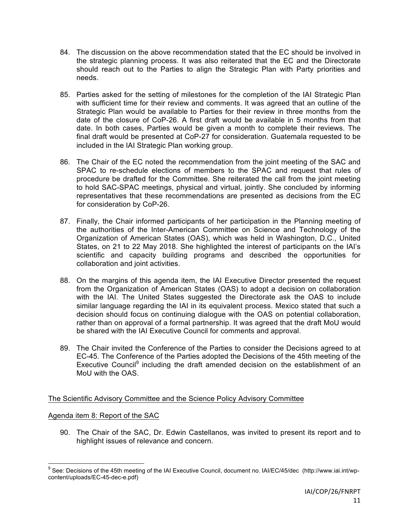- 84. The discussion on the above recommendation stated that the EC should be involved in the strategic planning process. It was also reiterated that the EC and the Directorate should reach out to the Parties to align the Strategic Plan with Party priorities and needs.
- 85. Parties asked for the setting of milestones for the completion of the IAI Strategic Plan with sufficient time for their review and comments. It was agreed that an outline of the Strategic Plan would be available to Parties for their review in three months from the date of the closure of CoP-26. A first draft would be available in 5 months from that date. In both cases, Parties would be given a month to complete their reviews. The final draft would be presented at CoP-27 for consideration. Guatemala requested to be included in the IAI Strategic Plan working group.
- 86. The Chair of the EC noted the recommendation from the joint meeting of the SAC and SPAC to re-schedule elections of members to the SPAC and request that rules of procedure be drafted for the Committee. She reiterated the call from the joint meeting to hold SAC-SPAC meetings, physical and virtual, jointly. She concluded by informing representatives that these recommendations are presented as decisions from the EC for consideration by CoP-26.
- 87. Finally, the Chair informed participants of her participation in the Planning meeting of the authorities of the Inter-American Committee on Science and Technology of the Organization of American States (OAS), which was held in Washington, D.C., United States, on 21 to 22 May 2018. She highlighted the interest of participants on the IAI's scientific and capacity building programs and described the opportunities for collaboration and joint activities.
- 88. On the margins of this agenda item, the IAI Executive Director presented the request from the Organization of American States (OAS) to adopt a decision on collaboration with the IAI. The United States suggested the Directorate ask the OAS to include similar language regarding the IAI in its equivalent process. Mexico stated that such a decision should focus on continuing dialogue with the OAS on potential collaboration, rather than on approval of a formal partnership. It was agreed that the draft MoU would be shared with the IAI Executive Council for comments and approval.
- 89. The Chair invited the Conference of the Parties to consider the Decisions agreed to at EC-45. The Conference of the Parties adopted the Decisions of the 45th meeting of the Executive Council<sup>9</sup> including the draft amended decision on the establishment of an MoU with the OAS

# The Scientific Advisory Committee and the Science Policy Advisory Committee

## Agenda item 8: Report of the SAC

90. The Chair of the SAC, Dr. Edwin Castellanos, was invited to present its report and to highlight issues of relevance and concern.

<sup>&</sup>lt;sup>9</sup> See: Decisions of the 45th meeting of the IAI Executive Council, document no. IAI/EC/45/dec (http://www.iai.int/wpcontent/uploads/EC-45-dec-e.pdf)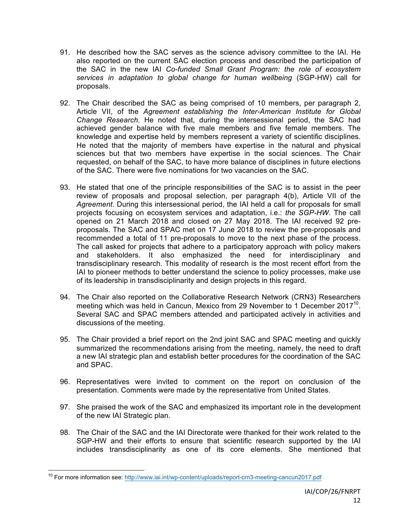- 91. He described how the SAC serves as the science advisory committee to the IAI. He also reported on the current SAC election process and described the participation of the SAC in the new IAI *Co-funded Small Grant Program: the role of ecosystem services in adaptation to global change for human wellbeing* (SGP-HW) call for proposals.
- 92. The Chair described the SAC as being comprised of 10 members, per paragraph 2, Article VII, of the *Agreement establishing the Inter-American Institute for Global Change Research.* He noted that, during the intersessional period, the SAC had achieved gender balance with five male members and five female members. The knowledge and expertise held by members represent a variety of scientific disciplines. He noted that the majority of members have expertise in the natural and physical sciences but that two members have expertise in the social sciences. The Chair requested, on behalf of the SAC, to have more balance of disciplines in future elections of the SAC. There were five nominations for two vacancies on the SAC.
- 93. He stated that one of the principle responsibilities of the SAC is to assist in the peer review of proposals and proposal selection, per paragraph 4(b), Article VII of the *Agreement*. During this intersessional period, the IAI held a call for proposals for small projects focusing on ecosystem services and adaptation, i.e.: *the SGP-HW*. The call opened on 21 March 2018 and closed on 27 May 2018. The IAI received 92 preproposals. The SAC and SPAC met on 17 June 2018 to review the pre-proposals and recommended a total of 11 pre-proposals to move to the next phase of the process. The call asked for projects that adhere to a participatory approach with policy makers and stakeholders. It also emphasized the need for interdisciplinary and transdisciplinary research. This modality of research is the most recent effort from the IAI to pioneer methods to better understand the science to policy processes, make use of its leadership in transdisciplinarity and design projects in this regard.
- 94. The Chair also reported on the Collaborative Research Network (CRN3) Researchers meeting which was held in Cancun, Mexico from 29 November to 1 December 2017<sup>10</sup>. Several SAC and SPAC members attended and participated actively in activities and discussions of the meeting.
- 95. The Chair provided a brief report on the 2nd joint SAC and SPAC meeting and quickly summarized the recommendations arising from the meeting, namely, the need to draft a new IAI strategic plan and establish better procedures for the coordination of the SAC and SPAC.
- 96. Representatives were invited to comment on the report on conclusion of the presentation. Comments were made by the representative from United States.
- 97. She praised the work of the SAC and emphasized its important role in the development of the new IAI Strategic plan.
- 98. The Chair of the SAC and the IAI Directorate were thanked for their work related to the SGP-HW and their efforts to ensure that scientific research supported by the IAI includes transdisciplinarity as one of its core elements. She mentioned that

<sup>&</sup>lt;sup>10</sup> For more information see: http://www.iai.int/wp-content/uploads/report-crn3-meeting-cancun2017.pdf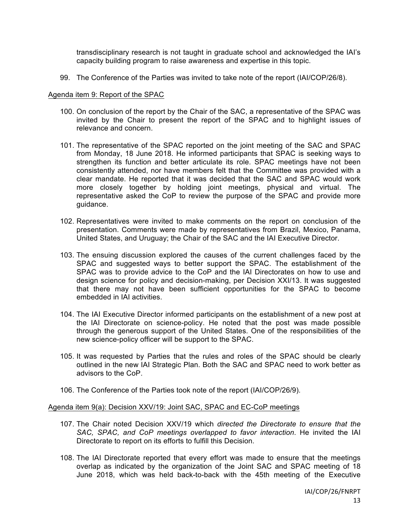transdisciplinary research is not taught in graduate school and acknowledged the IAI's capacity building program to raise awareness and expertise in this topic.

99. The Conference of the Parties was invited to take note of the report (IAI/COP/26/8).

### Agenda item 9: Report of the SPAC

- 100. On conclusion of the report by the Chair of the SAC, a representative of the SPAC was invited by the Chair to present the report of the SPAC and to highlight issues of relevance and concern.
- 101. The representative of the SPAC reported on the joint meeting of the SAC and SPAC from Monday, 18 June 2018. He informed participants that SPAC is seeking ways to strengthen its function and better articulate its role. SPAC meetings have not been consistently attended, nor have members felt that the Committee was provided with a clear mandate. He reported that it was decided that the SAC and SPAC would work more closely together by holding joint meetings, physical and virtual. The representative asked the CoP to review the purpose of the SPAC and provide more guidance.
- 102. Representatives were invited to make comments on the report on conclusion of the presentation. Comments were made by representatives from Brazil, Mexico, Panama, United States, and Uruguay; the Chair of the SAC and the IAI Executive Director.
- 103. The ensuing discussion explored the causes of the current challenges faced by the SPAC and suggested ways to better support the SPAC. The establishment of the SPAC was to provide advice to the CoP and the IAI Directorates on how to use and design science for policy and decision-making, per Decision XXI/13. It was suggested that there may not have been sufficient opportunities for the SPAC to become embedded in IAI activities.
- 104. The IAI Executive Director informed participants on the establishment of a new post at the IAI Directorate on science-policy. He noted that the post was made possible through the generous support of the United States. One of the responsibilities of the new science-policy officer will be support to the SPAC.
- 105. It was requested by Parties that the rules and roles of the SPAC should be clearly outlined in the new IAI Strategic Plan. Both the SAC and SPAC need to work better as advisors to the CoP.
- 106. The Conference of the Parties took note of the report (IAI/COP/26/9).

### Agenda item 9(a): Decision XXV/19: Joint SAC, SPAC and EC-CoP meetings

- 107. The Chair noted Decision XXV/19 which *directed the Directorate to ensure that the SAC, SPAC, and CoP meetings overlapped to favor interaction*. He invited the IAI Directorate to report on its efforts to fulfill this Decision.
- 108. The IAI Directorate reported that every effort was made to ensure that the meetings overlap as indicated by the organization of the Joint SAC and SPAC meeting of 18 June 2018, which was held back-to-back with the 45th meeting of the Executive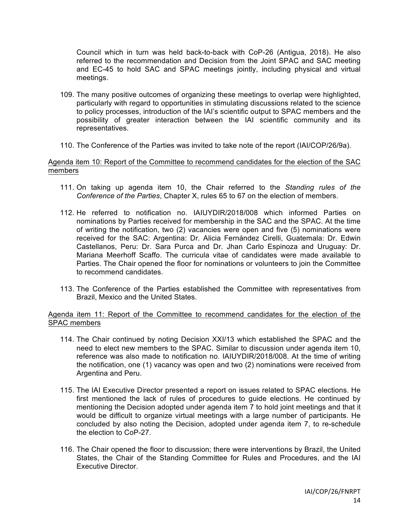Council which in turn was held back-to-back with CoP-26 (Antigua, 2018). He also referred to the recommendation and Decision from the Joint SPAC and SAC meeting and EC-45 to hold SAC and SPAC meetings jointly, including physical and virtual meetings.

- 109. The many positive outcomes of organizing these meetings to overlap were highlighted, particularly with regard to opportunities in stimulating discussions related to the science to policy processes, introduction of the IAI's scientific output to SPAC members and the possibility of greater interaction between the IAI scientific community and its representatives.
- 110. The Conference of the Parties was invited to take note of the report (IAI/COP/26/9a).

## Agenda item 10: Report of the Committee to recommend candidates for the election of the SAC members

- 111. On taking up agenda item 10, the Chair referred to the *Standing rules of the Conference of the Parties*, Chapter X, rules 65 to 67 on the election of members.
- 112. He referred to notification no. IAIUYDIR/2018/008 which informed Parties on nominations by Parties received for membership in the SAC and the SPAC. At the time of writing the notification, two (2) vacancies were open and five (5) nominations were received for the SAC: Argentina: Dr. Alicia Fernández Cirelli, Guatemala: Dr. Edwin Castellanos, Peru: Dr. Sara Purca and Dr. Jhan Carlo Espinoza and Uruguay: Dr. Mariana Meerhoff Scaffo. The curricula vitae of candidates were made available to Parties. The Chair opened the floor for nominations or volunteers to join the Committee to recommend candidates.
- 113. The Conference of the Parties established the Committee with representatives from Brazil, Mexico and the United States.

## Agenda item 11: Report of the Committee to recommend candidates for the election of the SPAC members

- 114. The Chair continued by noting Decision XXI/13 which established the SPAC and the need to elect new members to the SPAC. Similar to discussion under agenda item 10, reference was also made to notification no. IAIUYDIR/2018/008. At the time of writing the notification, one (1) vacancy was open and two (2) nominations were received from Argentina and Peru.
- 115. The IAI Executive Director presented a report on issues related to SPAC elections. He first mentioned the lack of rules of procedures to guide elections. He continued by mentioning the Decision adopted under agenda item 7 to hold joint meetings and that it would be difficult to organize virtual meetings with a large number of participants. He concluded by also noting the Decision, adopted under agenda item 7, to re-schedule the election to CoP-27.
- 116. The Chair opened the floor to discussion; there were interventions by Brazil, the United States, the Chair of the Standing Committee for Rules and Procedures, and the IAI Executive Director.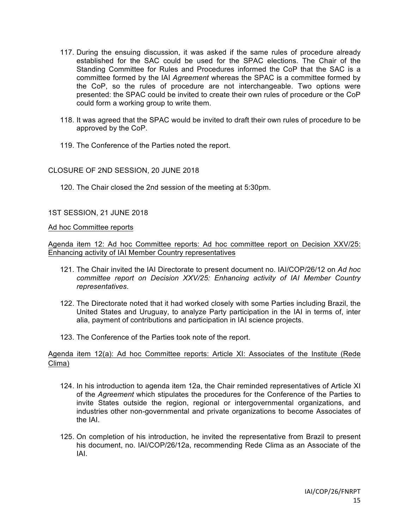- 117. During the ensuing discussion, it was asked if the same rules of procedure already established for the SAC could be used for the SPAC elections. The Chair of the Standing Committee for Rules and Procedures informed the CoP that the SAC is a committee formed by the IAI *Agreement* whereas the SPAC is a committee formed by the CoP, so the rules of procedure are not interchangeable. Two options were presented: the SPAC could be invited to create their own rules of procedure or the CoP could form a working group to write them.
- 118. It was agreed that the SPAC would be invited to draft their own rules of procedure to be approved by the CoP.
- 119. The Conference of the Parties noted the report.

## CLOSURE OF 2ND SESSION, 20 JUNE 2018

120. The Chair closed the 2nd session of the meeting at 5:30pm.

# 1ST SESSION, 21 JUNE 2018

## Ad hoc Committee reports

Agenda item 12: Ad hoc Committee reports: Ad hoc committee report on Decision XXV/25: Enhancing activity of IAI Member Country representatives

- 121. The Chair invited the IAI Directorate to present document no. IAI/COP/26/12 on *Ad hoc committee report on Decision XXV/25: Enhancing activity of IAI Member Country representatives*.
- 122. The Directorate noted that it had worked closely with some Parties including Brazil, the United States and Uruguay, to analyze Party participation in the IAI in terms of, inter alia, payment of contributions and participation in IAI science projects.
- 123. The Conference of the Parties took note of the report.

## Agenda item 12(a): Ad hoc Committee reports: Article XI: Associates of the Institute (Rede Clima)

- 124. In his introduction to agenda item 12a, the Chair reminded representatives of Article XI of the *Agreement* which stipulates the procedures for the Conference of the Parties to invite States outside the region, regional or intergovernmental organizations, and industries other non-governmental and private organizations to become Associates of the IAI.
- 125. On completion of his introduction, he invited the representative from Brazil to present his document, no. IAI/COP/26/12a, recommending Rede Clima as an Associate of the IAI.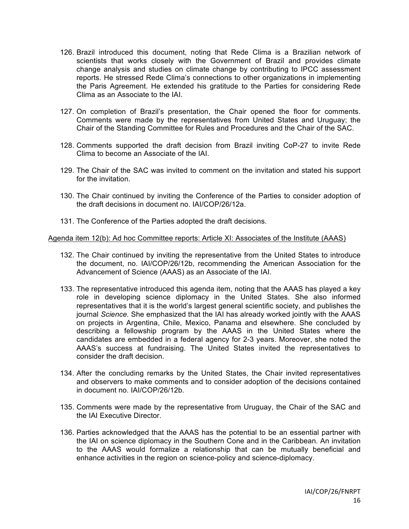- 126. Brazil introduced this document, noting that Rede Clima is a Brazilian network of scientists that works closely with the Government of Brazil and provides climate change analysis and studies on climate change by contributing to IPCC assessment reports. He stressed Rede Clima's connections to other organizations in implementing the Paris Agreement. He extended his gratitude to the Parties for considering Rede Clima as an Associate to the IAI.
- 127. On completion of Brazil's presentation, the Chair opened the floor for comments. Comments were made by the representatives from United States and Uruguay; the Chair of the Standing Committee for Rules and Procedures and the Chair of the SAC.
- 128. Comments supported the draft decision from Brazil inviting CoP-27 to invite Rede Clima to become an Associate of the IAI.
- 129. The Chair of the SAC was invited to comment on the invitation and stated his support for the invitation.
- 130. The Chair continued by inviting the Conference of the Parties to consider adoption of the draft decisions in document no. IAI/COP/26/12a.
- 131. The Conference of the Parties adopted the draft decisions.

## Agenda item 12(b): Ad hoc Committee reports: Article XI: Associates of the Institute (AAAS)

- 132. The Chair continued by inviting the representative from the United States to introduce the document, no. IAI/COP/26/12b, recommending the American Association for the Advancement of Science (AAAS) as an Associate of the IAI.
- 133. The representative introduced this agenda item, noting that the AAAS has played a key role in developing science diplomacy in the United States. She also informed representatives that it is the world's largest general scientific society, and publishes the journal *Science.* She emphasized that the IAI has already worked jointly with the AAAS on projects in Argentina, Chile, Mexico, Panama and elsewhere. She concluded by describing a fellowship program by the AAAS in the United States where the candidates are embedded in a federal agency for 2-3 years. Moreover, she noted the AAAS's success at fundraising. The United States invited the representatives to consider the draft decision.
- 134. After the concluding remarks by the United States, the Chair invited representatives and observers to make comments and to consider adoption of the decisions contained in document no. IAI/COP/26/12b.
- 135. Comments were made by the representative from Uruguay, the Chair of the SAC and the IAI Executive Director.
- 136. Parties acknowledged that the AAAS has the potential to be an essential partner with the IAI on science diplomacy in the Southern Cone and in the Caribbean. An invitation to the AAAS would formalize a relationship that can be mutually beneficial and enhance activities in the region on science-policy and science-diplomacy.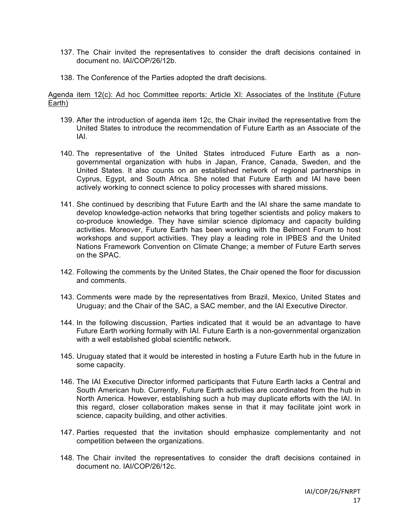- 137. The Chair invited the representatives to consider the draft decisions contained in document no. IAI/COP/26/12b.
- 138. The Conference of the Parties adopted the draft decisions.

Agenda item 12(c): Ad hoc Committee reports: Article XI: Associates of the Institute (Future Earth)

- 139. After the introduction of agenda item 12c, the Chair invited the representative from the United States to introduce the recommendation of Future Earth as an Associate of the IAI.
- 140. The representative of the United States introduced Future Earth as a nongovernmental organization with hubs in Japan, France, Canada, Sweden, and the United States. It also counts on an established network of regional partnerships in Cyprus, Egypt, and South Africa. She noted that Future Earth and IAI have been actively working to connect science to policy processes with shared missions.
- 141. She continued by describing that Future Earth and the IAI share the same mandate to develop knowledge-action networks that bring together scientists and policy makers to co-produce knowledge. They have similar science diplomacy and capacity building activities. Moreover, Future Earth has been working with the Belmont Forum to host workshops and support activities. They play a leading role in IPBES and the United Nations Framework Convention on Climate Change; a member of Future Earth serves on the SPAC.
- 142. Following the comments by the United States, the Chair opened the floor for discussion and comments.
- 143. Comments were made by the representatives from Brazil, Mexico, United States and Uruguay; and the Chair of the SAC, a SAC member, and the IAI Executive Director.
- 144. In the following discussion, Parties indicated that it would be an advantage to have Future Earth working formally with IAI. Future Earth is a non-governmental organization with a well established global scientific network.
- 145. Uruguay stated that it would be interested in hosting a Future Earth hub in the future in some capacity.
- 146. The IAI Executive Director informed participants that Future Earth lacks a Central and South American hub. Currently, Future Earth activities are coordinated from the hub in North America. However, establishing such a hub may duplicate efforts with the IAI. In this regard, closer collaboration makes sense in that it may facilitate joint work in science, capacity building, and other activities.
- 147. Parties requested that the invitation should emphasize complementarity and not competition between the organizations.
- 148. The Chair invited the representatives to consider the draft decisions contained in document no. IAI/COP/26/12c.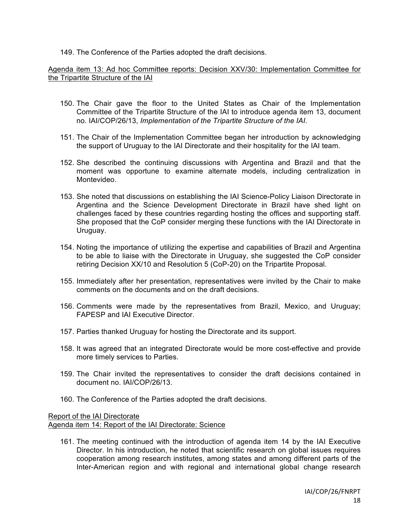149. The Conference of the Parties adopted the draft decisions.

Agenda item 13: Ad hoc Committee reports: Decision XXV/30: Implementation Committee for the Tripartite Structure of the IAI

- 150. The Chair gave the floor to the United States as Chair of the Implementation Committee of the Tripartite Structure of the IAI to introduce agenda item 13, document no. IAI/COP/26/13, *Implementation of the Tripartite Structure of the IAI*.
- 151. The Chair of the Implementation Committee began her introduction by acknowledging the support of Uruguay to the IAI Directorate and their hospitality for the IAI team.
- 152. She described the continuing discussions with Argentina and Brazil and that the moment was opportune to examine alternate models, including centralization in Montevideo.
- 153. She noted that discussions on establishing the IAI Science-Policy Liaison Directorate in Argentina and the Science Development Directorate in Brazil have shed light on challenges faced by these countries regarding hosting the offices and supporting staff. She proposed that the CoP consider merging these functions with the IAI Directorate in Uruguay.
- 154. Noting the importance of utilizing the expertise and capabilities of Brazil and Argentina to be able to liaise with the Directorate in Uruguay, she suggested the CoP consider retiring Decision XX/10 and Resolution 5 (CoP-20) on the Tripartite Proposal.
- 155. Immediately after her presentation, representatives were invited by the Chair to make comments on the documents and on the draft decisions.
- 156. Comments were made by the representatives from Brazil, Mexico, and Uruguay; FAPESP and IAI Executive Director.
- 157. Parties thanked Uruguay for hosting the Directorate and its support.
- 158. It was agreed that an integrated Directorate would be more cost-effective and provide more timely services to Parties.
- 159. The Chair invited the representatives to consider the draft decisions contained in document no. IAI/COP/26/13.
- 160. The Conference of the Parties adopted the draft decisions.

## Report of the IAI Directorate Agenda item 14: Report of the IAI Directorate: Science

161. The meeting continued with the introduction of agenda item 14 by the IAI Executive Director. In his introduction, he noted that scientific research on global issues requires cooperation among research institutes, among states and among different parts of the Inter-American region and with regional and international global change research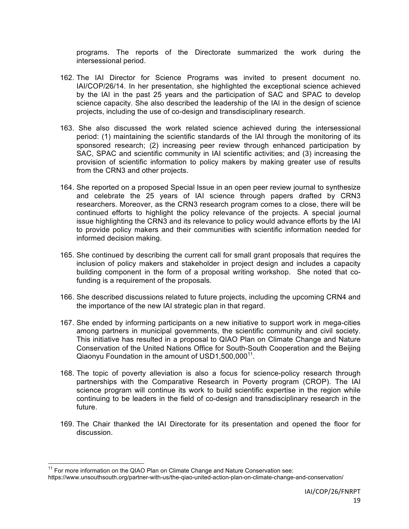programs. The reports of the Directorate summarized the work during the intersessional period.

- 162. The IAI Director for Science Programs was invited to present document no. IAI/COP/26/14. In her presentation, she highlighted the exceptional science achieved by the IAI in the past 25 years and the participation of SAC and SPAC to develop science capacity. She also described the leadership of the IAI in the design of science projects, including the use of co-design and transdisciplinary research.
- 163. She also discussed the work related science achieved during the intersessional period: (1) maintaining the scientific standards of the IAI through the monitoring of its sponsored research; (2) increasing peer review through enhanced participation by SAC, SPAC and scientific community in IAI scientific activities; and (3) increasing the provision of scientific information to policy makers by making greater use of results from the CRN3 and other projects.
- 164. She reported on a proposed Special Issue in an open peer review journal to synthesize and celebrate the 25 years of IAI science through papers drafted by CRN3 researchers. Moreover, as the CRN3 research program comes to a close, there will be continued efforts to highlight the policy relevance of the projects. A special journal issue highlighting the CRN3 and its relevance to policy would advance efforts by the IAI to provide policy makers and their communities with scientific information needed for informed decision making.
- 165. She continued by describing the current call for small grant proposals that requires the inclusion of policy makers and stakeholder in project design and includes a capacity building component in the form of a proposal writing workshop. She noted that cofunding is a requirement of the proposals.
- 166. She described discussions related to future projects, including the upcoming CRN4 and the importance of the new IAI strategic plan in that regard.
- 167. She ended by informing participants on a new initiative to support work in mega-cities among partners in municipal governments, the scientific community and civil society. This initiative has resulted in a proposal to QIAO Plan on Climate Change and Nature Conservation of the United Nations Office for South-South Cooperation and the Beijing Qiaonyu Foundation in the amount of USD1,500,000<sup>11</sup>.
- 168. The topic of poverty alleviation is also a focus for science-policy research through partnerships with the Comparative Research in Poverty program (CROP). The IAI science program will continue its work to build scientific expertise in the region while continuing to be leaders in the field of co-design and transdisciplinary research in the future.
- 169. The Chair thanked the IAI Directorate for its presentation and opened the floor for discussion.

 $11$  For more information on the QIAO Plan on Climate Change and Nature Conservation see:

https://www.unsouthsouth.org/partner-with-us/the-qiao-united-action-plan-on-climate-change-and-conservation/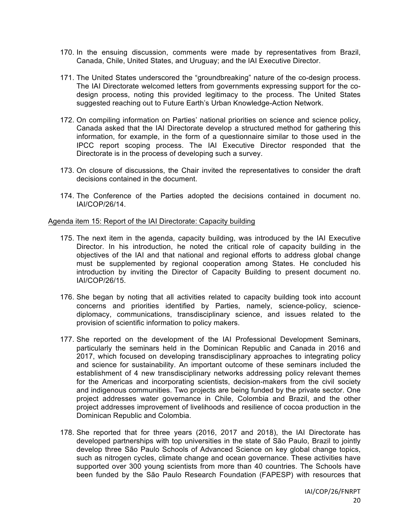- 170. In the ensuing discussion, comments were made by representatives from Brazil, Canada, Chile, United States, and Uruguay; and the IAI Executive Director.
- 171. The United States underscored the "groundbreaking" nature of the co-design process. The IAI Directorate welcomed letters from governments expressing support for the codesign process, noting this provided legitimacy to the process. The United States suggested reaching out to Future Earth's Urban Knowledge-Action Network.
- 172. On compiling information on Parties' national priorities on science and science policy, Canada asked that the IAI Directorate develop a structured method for gathering this information, for example, in the form of a questionnaire similar to those used in the IPCC report scoping process. The IAI Executive Director responded that the Directorate is in the process of developing such a survey.
- 173. On closure of discussions, the Chair invited the representatives to consider the draft decisions contained in the document.
- 174. The Conference of the Parties adopted the decisions contained in document no. IAI/COP/26/14.

### Agenda item 15: Report of the IAI Directorate: Capacity building

- 175. The next item in the agenda, capacity building, was introduced by the IAI Executive Director. In his introduction, he noted the critical role of capacity building in the objectives of the IAI and that national and regional efforts to address global change must be supplemented by regional cooperation among States. He concluded his introduction by inviting the Director of Capacity Building to present document no. IAI/COP/26/15.
- 176. She began by noting that all activities related to capacity building took into account concerns and priorities identified by Parties, namely, science-policy, sciencediplomacy, communications, transdisciplinary science, and issues related to the provision of scientific information to policy makers.
- 177. She reported on the development of the IAI Professional Development Seminars, particularly the seminars held in the Dominican Republic and Canada in 2016 and 2017, which focused on developing transdisciplinary approaches to integrating policy and science for sustainability. An important outcome of these seminars included the establishment of 4 new transdisciplinary networks addressing policy relevant themes for the Americas and incorporating scientists, decision-makers from the civil society and indigenous communities. Two projects are being funded by the private sector. One project addresses water governance in Chile, Colombia and Brazil, and the other project addresses improvement of livelihoods and resilience of cocoa production in the Dominican Republic and Colombia.
- 178. She reported that for three years (2016, 2017 and 2018), the IAI Directorate has developed partnerships with top universities in the state of São Paulo, Brazil to jointly develop three São Paulo Schools of Advanced Science on key global change topics, such as nitrogen cycles, climate change and ocean governance. These activities have supported over 300 young scientists from more than 40 countries. The Schools have been funded by the São Paulo Research Foundation (FAPESP) with resources that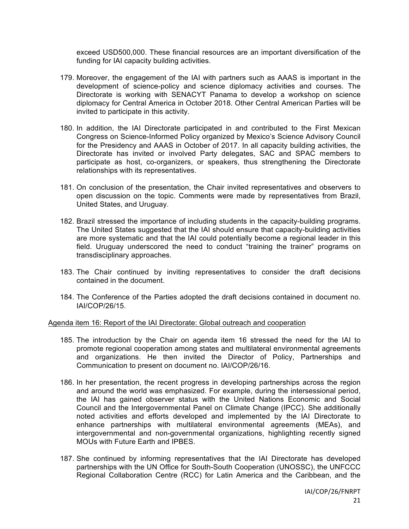exceed USD500,000. These financial resources are an important diversification of the funding for IAI capacity building activities.

- 179. Moreover, the engagement of the IAI with partners such as AAAS is important in the development of science-policy and science diplomacy activities and courses. The Directorate is working with SENACYT Panama to develop a workshop on science diplomacy for Central America in October 2018. Other Central American Parties will be invited to participate in this activity.
- 180. In addition, the IAI Directorate participated in and contributed to the First Mexican Congress on Science-Informed Policy organized by Mexico's Science Advisory Council for the Presidency and AAAS in October of 2017. In all capacity building activities, the Directorate has invited or involved Party delegates, SAC and SPAC members to participate as host, co-organizers, or speakers, thus strengthening the Directorate relationships with its representatives.
- 181. On conclusion of the presentation, the Chair invited representatives and observers to open discussion on the topic. Comments were made by representatives from Brazil, United States, and Uruguay.
- 182. Brazil stressed the importance of including students in the capacity-building programs. The United States suggested that the IAI should ensure that capacity-building activities are more systematic and that the IAI could potentially become a regional leader in this field. Uruguay underscored the need to conduct "training the trainer" programs on transdisciplinary approaches.
- 183. The Chair continued by inviting representatives to consider the draft decisions contained in the document.
- 184. The Conference of the Parties adopted the draft decisions contained in document no. IAI/COP/26/15.

## Agenda item 16: Report of the IAI Directorate: Global outreach and cooperation

- 185. The introduction by the Chair on agenda item 16 stressed the need for the IAI to promote regional cooperation among states and multilateral environmental agreements and organizations. He then invited the Director of Policy, Partnerships and Communication to present on document no. IAI/COP/26/16.
- 186. In her presentation, the recent progress in developing partnerships across the region and around the world was emphasized. For example, during the intersessional period, the IAI has gained observer status with the United Nations Economic and Social Council and the Intergovernmental Panel on Climate Change (IPCC). She additionally noted activities and efforts developed and implemented by the IAI Directorate to enhance partnerships with multilateral environmental agreements (MEAs), and intergovernmental and non-governmental organizations, highlighting recently signed MOUs with Future Earth and IPBES.
- 187. She continued by informing representatives that the IAI Directorate has developed partnerships with the UN Office for South-South Cooperation (UNOSSC), the UNFCCC Regional Collaboration Centre (RCC) for Latin America and the Caribbean, and the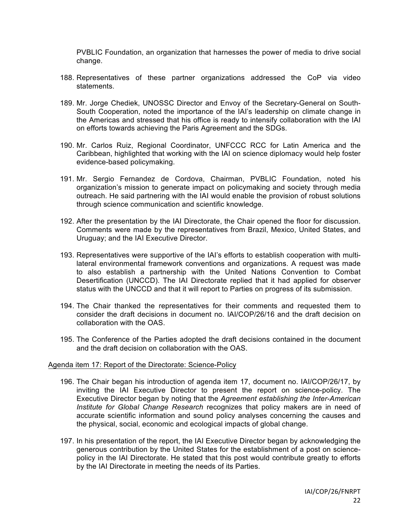PVBLIC Foundation, an organization that harnesses the power of media to drive social change.

- 188. Representatives of these partner organizations addressed the CoP via video statements.
- 189. Mr. Jorge Chediek, UNOSSC Director and Envoy of the Secretary-General on South-South Cooperation, noted the importance of the IAI's leadership on climate change in the Americas and stressed that his office is ready to intensify collaboration with the IAI on efforts towards achieving the Paris Agreement and the SDGs.
- 190. Mr. Carlos Ruiz, Regional Coordinator, UNFCCC RCC for Latin America and the Caribbean, highlighted that working with the IAI on science diplomacy would help foster evidence-based policymaking.
- 191. Mr. Sergio Fernandez de Cordova, Chairman, PVBLIC Foundation, noted his organization's mission to generate impact on policymaking and society through media outreach. He said partnering with the IAI would enable the provision of robust solutions through science communication and scientific knowledge.
- 192. After the presentation by the IAI Directorate, the Chair opened the floor for discussion. Comments were made by the representatives from Brazil, Mexico, United States, and Uruguay; and the IAI Executive Director.
- 193. Representatives were supportive of the IAI's efforts to establish cooperation with multilateral environmental framework conventions and organizations. A request was made to also establish a partnership with the United Nations Convention to Combat Desertification (UNCCD). The IAI Directorate replied that it had applied for observer status with the UNCCD and that it will report to Parties on progress of its submission.
- 194. The Chair thanked the representatives for their comments and requested them to consider the draft decisions in document no. IAI/COP/26/16 and the draft decision on collaboration with the OAS.
- 195. The Conference of the Parties adopted the draft decisions contained in the document and the draft decision on collaboration with the OAS.

### Agenda item 17: Report of the Directorate: Science-Policy

- 196. The Chair began his introduction of agenda item 17, document no. IAI/COP/26/17, by inviting the IAI Executive Director to present the report on science-policy. The Executive Director began by noting that the *Agreement establishing the Inter-American Institute for Global Change Research* recognizes that policy makers are in need of accurate scientific information and sound policy analyses concerning the causes and the physical, social, economic and ecological impacts of global change.
- 197. In his presentation of the report, the IAI Executive Director began by acknowledging the generous contribution by the United States for the establishment of a post on sciencepolicy in the IAI Directorate. He stated that this post would contribute greatly to efforts by the IAI Directorate in meeting the needs of its Parties.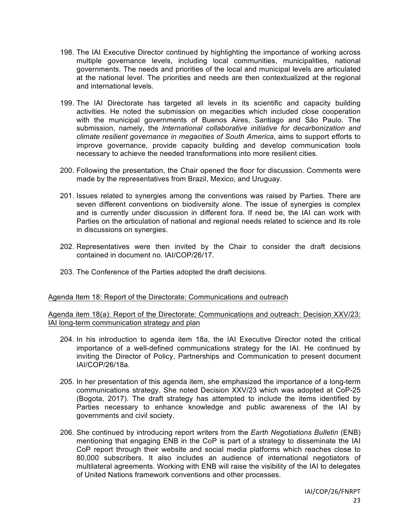- 198. The IAI Executive Director continued by highlighting the importance of working across multiple governance levels, including local communities, municipalities, national governments. The needs and priorities of the local and municipal levels are articulated at the national level. The priorities and needs are then contextualized at the regional and international levels.
- 199. The IAI Directorate has targeted all levels in its scientific and capacity building activities. He noted the submission on megacities which included close cooperation with the municipal governments of Buenos Aires, Santiago and São Paulo. The submission, namely, the *International collaborative initiative for decarbonization and climate resilient governance in megacities of South America*, aims to support efforts to improve governance, provide capacity building and develop communication tools necessary to achieve the needed transformations into more resilient cities.
- 200. Following the presentation, the Chair opened the floor for discussion. Comments were made by the representatives from Brazil, Mexico, and Uruguay.
- 201. Issues related to synergies among the conventions was raised by Parties. There are seven different conventions on biodiversity alone. The issue of synergies is complex and is currently under discussion in different fora. If need be, the IAI can work with Parties on the articulation of national and regional needs related to science and its role in discussions on synergies.
- 202. Representatives were then invited by the Chair to consider the draft decisions contained in document no. IAI/COP/26/17.
- 203. The Conference of the Parties adopted the draft decisions.

### Agenda Item 18: Report of the Directorate: Communications and outreach

Agenda item 18(a): Report of the Directorate: Communications and outreach: Decision XXV/23: IAI long-term communication strategy and plan

- 204. In his introduction to agenda item 18a, the IAI Executive Director noted the critical importance of a well-defined communications strategy for the IAI. He continued by inviting the Director of Policy, Partnerships and Communication to present document IAI/COP/26/18a.
- 205. In her presentation of this agenda item, she emphasized the importance of a long-term communications strategy. She noted Decision XXV/23 which was adopted at CoP-25 (Bogota, 2017). The draft strategy has attempted to include the items identified by Parties necessary to enhance knowledge and public awareness of the IAI by governments and civil society.
- 206. She continued by introducing report writers from the *Earth Negotiations Bulletin* (ENB) mentioning that engaging ENB in the CoP is part of a strategy to disseminate the IAI CoP report through their website and social media platforms which reaches close to 80,000 subscribers. It also includes an audience of international negotiators of multilateral agreements. Working with ENB will raise the visibility of the IAI to delegates of United Nations framework conventions and other processes.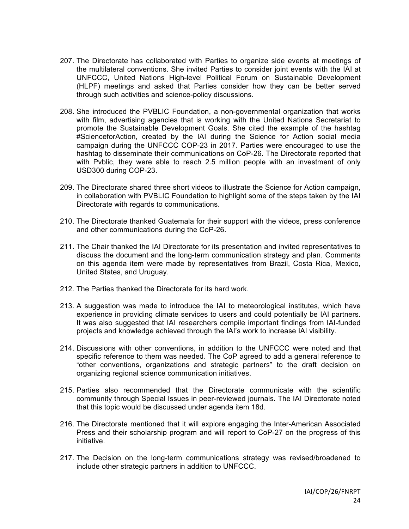- 207. The Directorate has collaborated with Parties to organize side events at meetings of the multilateral conventions. She invited Parties to consider joint events with the IAI at UNFCCC, United Nations High-level Political Forum on Sustainable Development (HLPF) meetings and asked that Parties consider how they can be better served through such activities and science-policy discussions.
- 208. She introduced the PVBLIC Foundation, a non-governmental organization that works with film, advertising agencies that is working with the United Nations Secretariat to promote the Sustainable Development Goals. She cited the example of the hashtag #ScienceforAction, created by the IAI during the Science for Action social media campaign during the UNFCCC COP-23 in 2017. Parties were encouraged to use the hashtag to disseminate their communications on CoP-26. The Directorate reported that with Pvblic, they were able to reach 2.5 million people with an investment of only USD300 during COP-23.
- 209. The Directorate shared three short videos to illustrate the Science for Action campaign, in collaboration with PVBLIC Foundation to highlight some of the steps taken by the IAI Directorate with regards to communications.
- 210. The Directorate thanked Guatemala for their support with the videos, press conference and other communications during the CoP-26.
- 211. The Chair thanked the IAI Directorate for its presentation and invited representatives to discuss the document and the long-term communication strategy and plan. Comments on this agenda item were made by representatives from Brazil, Costa Rica, Mexico, United States, and Uruguay.
- 212. The Parties thanked the Directorate for its hard work.
- 213. A suggestion was made to introduce the IAI to meteorological institutes, which have experience in providing climate services to users and could potentially be IAI partners. It was also suggested that IAI researchers compile important findings from IAI-funded projects and knowledge achieved through the IAI's work to increase IAI visibility.
- 214. Discussions with other conventions, in addition to the UNFCCC were noted and that specific reference to them was needed. The CoP agreed to add a general reference to "other conventions, organizations and strategic partners" to the draft decision on organizing regional science communication initiatives.
- 215. Parties also recommended that the Directorate communicate with the scientific community through Special Issues in peer-reviewed journals. The IAI Directorate noted that this topic would be discussed under agenda item 18d.
- 216. The Directorate mentioned that it will explore engaging the Inter-American Associated Press and their scholarship program and will report to CoP-27 on the progress of this initiative.
- 217. The Decision on the long-term communications strategy was revised/broadened to include other strategic partners in addition to UNFCCC.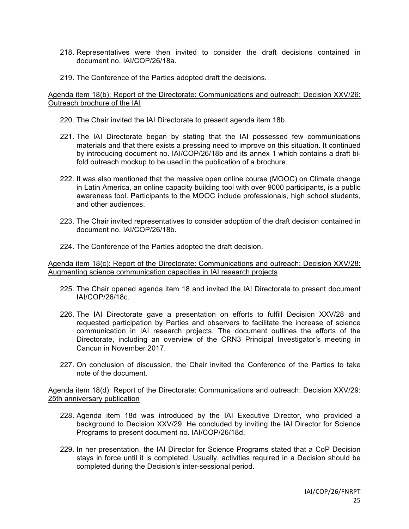- 218. Representatives were then invited to consider the draft decisions contained in document no. IAI/COP/26/18a.
- 219. The Conference of the Parties adopted draft the decisions.

Agenda item 18(b): Report of the Directorate: Communications and outreach: Decision XXV/26: Outreach brochure of the IAI

- 220. The Chair invited the IAI Directorate to present agenda item 18b.
- 221. The IAI Directorate began by stating that the IAI possessed few communications materials and that there exists a pressing need to improve on this situation. It continued by introducing document no. IAI/COP/26/18b and its annex 1 which contains a draft bifold outreach mockup to be used in the publication of a brochure.
- 222. It was also mentioned that the massive open online course (MOOC) on Climate change in Latin America, an online capacity building tool with over 9000 participants, is a public awareness tool. Participants to the MOOC include professionals, high school students, and other audiences.
- 223. The Chair invited representatives to consider adoption of the draft decision contained in document no. IAI/COP/26/18b.
- 224. The Conference of the Parties adopted the draft decision.

Agenda item 18(c): Report of the Directorate: Communications and outreach: Decision XXV/28: Augmenting science communication capacities in IAI research projects

- 225. The Chair opened agenda item 18 and invited the IAI Directorate to present document IAI/COP/26/18c.
- 226. The IAI Directorate gave a presentation on efforts to fulfill Decision XXV/28 and requested participation by Parties and observers to facilitate the increase of science communication in IAI research projects. The document outlines the efforts of the Directorate, including an overview of the CRN3 Principal Investigator's meeting in Cancun in November 2017.
- 227. On conclusion of discussion, the Chair invited the Conference of the Parties to take note of the document.

Agenda item 18(d): Report of the Directorate: Communications and outreach: Decision XXV/29: 25th anniversary publication

- 228. Agenda item 18d was introduced by the IAI Executive Director, who provided a background to Decision XXV/29. He concluded by inviting the IAI Director for Science Programs to present document no. IAI/COP/26/18d.
- 229. In her presentation, the IAI Director for Science Programs stated that a CoP Decision stays in force until it is completed. Usually, activities required in a Decision should be completed during the Decision's inter-sessional period.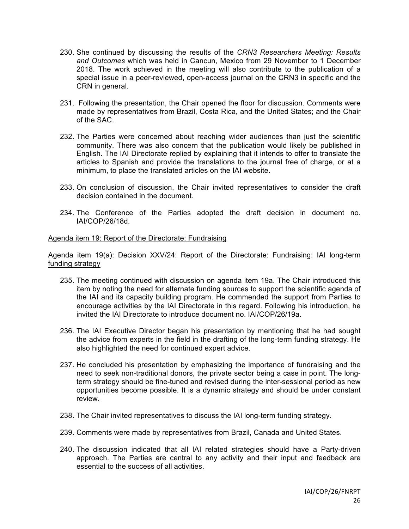- 230. She continued by discussing the results of the *CRN3 Researchers Meeting: Results and Outcomes* which was held in Cancun, Mexico from 29 November to 1 December 2018. The work achieved in the meeting will also contribute to the publication of a special issue in a peer-reviewed, open-access journal on the CRN3 in specific and the CRN in general.
- 231. Following the presentation, the Chair opened the floor for discussion. Comments were made by representatives from Brazil, Costa Rica, and the United States; and the Chair of the SAC.
- 232. The Parties were concerned about reaching wider audiences than just the scientific community. There was also concern that the publication would likely be published in English. The IAI Directorate replied by explaining that it intends to offer to translate the articles to Spanish and provide the translations to the journal free of charge, or at a minimum, to place the translated articles on the IAI website.
- 233. On conclusion of discussion, the Chair invited representatives to consider the draft decision contained in the document.
- 234. The Conference of the Parties adopted the draft decision in document no. IAI/COP/26/18d.

### Agenda item 19: Report of the Directorate: Fundraising

Agenda item 19(a): Decision XXV/24: Report of the Directorate: Fundraising: IAI long-term funding strategy

- 235. The meeting continued with discussion on agenda item 19a. The Chair introduced this item by noting the need for alternate funding sources to support the scientific agenda of the IAI and its capacity building program. He commended the support from Parties to encourage activities by the IAI Directorate in this regard. Following his introduction, he invited the IAI Directorate to introduce document no. IAI/COP/26/19a.
- 236. The IAI Executive Director began his presentation by mentioning that he had sought the advice from experts in the field in the drafting of the long-term funding strategy. He also highlighted the need for continued expert advice.
- 237. He concluded his presentation by emphasizing the importance of fundraising and the need to seek non-traditional donors, the private sector being a case in point. The longterm strategy should be fine-tuned and revised during the inter-sessional period as new opportunities become possible. It is a dynamic strategy and should be under constant review.
- 238. The Chair invited representatives to discuss the IAI long-term funding strategy.
- 239. Comments were made by representatives from Brazil, Canada and United States.
- 240. The discussion indicated that all IAI related strategies should have a Party-driven approach. The Parties are central to any activity and their input and feedback are essential to the success of all activities.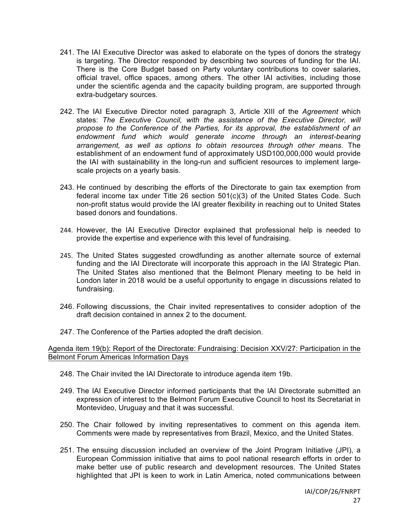- 241. The IAI Executive Director was asked to elaborate on the types of donors the strategy is targeting. The Director responded by describing two sources of funding for the IAI. There is the Core Budget based on Party voluntary contributions to cover salaries, official travel, office spaces, among others. The other IAI activities, including those under the scientific agenda and the capacity building program, are supported through extra-budgetary sources.
- 242. The IAI Executive Director noted paragraph 3, Article XIII of the *Agreement* which states: *The Executive Council, with the assistance of the Executive Director, will propose to the Conference of the Parties, for its approval, the establishment of an endowment fund which would generate income through an interest-bearing arrangement, as well as options to obtain resources through other means*. The establishment of an endowment fund of approximately USD100,000,000 would provide the IAI with sustainability in the long-run and sufficient resources to implement largescale projects on a yearly basis.
- 243. He continued by describing the efforts of the Directorate to gain tax exemption from federal income tax under Title 26 section  $501(c)(3)$  of the United States Code. Such non-profit status would provide the IAI greater flexibility in reaching out to United States based donors and foundations.
- 244. However, the IAI Executive Director explained that professional help is needed to provide the expertise and experience with this level of fundraising.
- 245. The United States suggested crowdfunding as another alternate source of external funding and the IAI Directorate will incorporate this approach in the IAI Strategic Plan. The United States also mentioned that the Belmont Plenary meeting to be held in London later in 2018 would be a useful opportunity to engage in discussions related to fundraising.
- 246. Following discussions, the Chair invited representatives to consider adoption of the draft decision contained in annex 2 to the document.
- 247. The Conference of the Parties adopted the draft decision.

Agenda item 19(b): Report of the Directorate: Fundraising: Decision XXV/27: Participation in the Belmont Forum Americas Information Days

- 248. The Chair invited the IAI Directorate to introduce agenda item 19b.
- 249. The IAI Executive Director informed participants that the IAI Directorate submitted an expression of interest to the Belmont Forum Executive Council to host its Secretariat in Montevideo, Uruguay and that it was successful.
- 250. The Chair followed by inviting representatives to comment on this agenda item. Comments were made by representatives from Brazil, Mexico, and the United States.
- 251. The ensuing discussion included an overview of the Joint Program Initiative (JPI), a European Commission initiative that aims to pool national research efforts in order to make better use of public research and development resources. The United States highlighted that JPI is keen to work in Latin America, noted communications between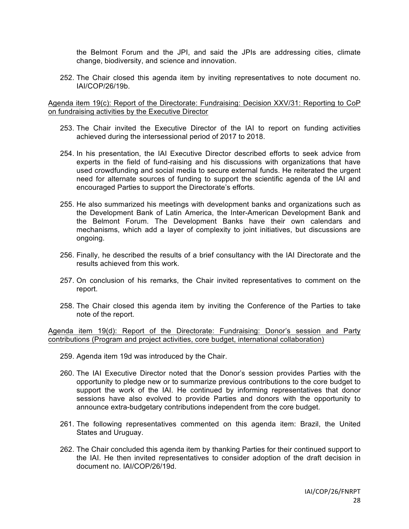the Belmont Forum and the JPI, and said the JPIs are addressing cities, climate change, biodiversity, and science and innovation.

252. The Chair closed this agenda item by inviting representatives to note document no. IAI/COP/26/19b.

Agenda item 19(c): Report of the Directorate: Fundraising: Decision XXV/31: Reporting to CoP on fundraising activities by the Executive Director

- 253. The Chair invited the Executive Director of the IAI to report on funding activities achieved during the intersessional period of 2017 to 2018.
- 254. In his presentation, the IAI Executive Director described efforts to seek advice from experts in the field of fund-raising and his discussions with organizations that have used crowdfunding and social media to secure external funds. He reiterated the urgent need for alternate sources of funding to support the scientific agenda of the IAI and encouraged Parties to support the Directorate's efforts.
- 255. He also summarized his meetings with development banks and organizations such as the Development Bank of Latin America, the Inter-American Development Bank and the Belmont Forum. The Development Banks have their own calendars and mechanisms, which add a layer of complexity to joint initiatives, but discussions are ongoing.
- 256. Finally, he described the results of a brief consultancy with the IAI Directorate and the results achieved from this work.
- 257. On conclusion of his remarks, the Chair invited representatives to comment on the report.
- 258. The Chair closed this agenda item by inviting the Conference of the Parties to take note of the report.

Agenda item 19(d): Report of the Directorate: Fundraising: Donor's session and Party contributions (Program and project activities, core budget, international collaboration)

- 259. Agenda item 19d was introduced by the Chair.
- 260. The IAI Executive Director noted that the Donor's session provides Parties with the opportunity to pledge new or to summarize previous contributions to the core budget to support the work of the IAI. He continued by informing representatives that donor sessions have also evolved to provide Parties and donors with the opportunity to announce extra-budgetary contributions independent from the core budget.
- 261. The following representatives commented on this agenda item: Brazil, the United States and Uruguay.
- 262. The Chair concluded this agenda item by thanking Parties for their continued support to the IAI. He then invited representatives to consider adoption of the draft decision in document no. IAI/COP/26/19d.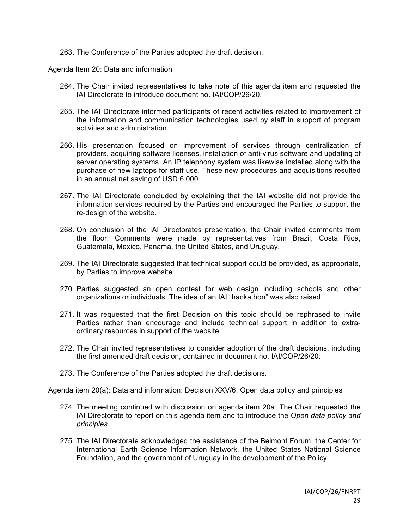263. The Conference of the Parties adopted the draft decision.

### Agenda Item 20: Data and information

- 264. The Chair invited representatives to take note of this agenda item and requested the IAI Directorate to introduce document no. IAI/COP/26/20.
- 265. The IAI Directorate informed participants of recent activities related to improvement of the information and communication technologies used by staff in support of program activities and administration.
- 266. His presentation focused on improvement of services through centralization of providers, acquiring software licenses, installation of anti-virus software and updating of server operating systems. An IP telephony system was likewise installed along with the purchase of new laptops for staff use. These new procedures and acquisitions resulted in an annual net saving of USD 6,000.
- 267. The IAI Directorate concluded by explaining that the IAI website did not provide the information services required by the Parties and encouraged the Parties to support the re-design of the website.
- 268. On conclusion of the IAI Directorates presentation, the Chair invited comments from the floor. Comments were made by representatives from Brazil, Costa Rica, Guatemala, Mexico, Panama, the United States, and Uruguay.
- 269. The IAI Directorate suggested that technical support could be provided, as appropriate, by Parties to improve website.
- 270. Parties suggested an open contest for web design including schools and other organizations or individuals. The idea of an IAI "hackathon" was also raised.
- 271. It was requested that the first Decision on this topic should be rephrased to invite Parties rather than encourage and include technical support in addition to extraordinary resources in support of the website.
- 272. The Chair invited representatives to consider adoption of the draft decisions, including the first amended draft decision, contained in document no. IAI/COP/26/20.
- 273. The Conference of the Parties adopted the draft decisions.

### Agenda item 20(a): Data and information: Decision XXV/6: Open data policy and principles

- 274. The meeting continued with discussion on agenda item 20a. The Chair requested the IAI Directorate to report on this agenda item and to introduce the *Open data policy and principles*.
- 275. The IAI Directorate acknowledged the assistance of the Belmont Forum, the Center for International Earth Science Information Network, the United States National Science Foundation, and the government of Uruguay in the development of the Policy.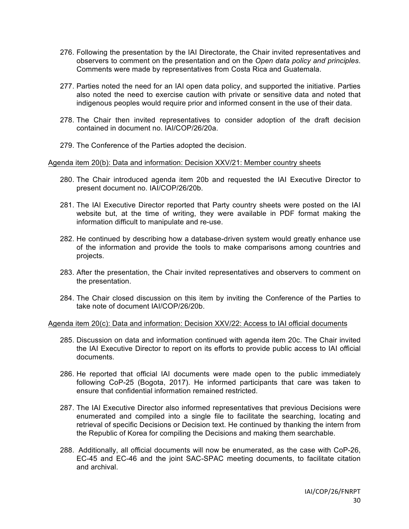- 276. Following the presentation by the IAI Directorate, the Chair invited representatives and observers to comment on the presentation and on the *Open data policy and principles*. Comments were made by representatives from Costa Rica and Guatemala.
- 277. Parties noted the need for an IAI open data policy, and supported the initiative. Parties also noted the need to exercise caution with private or sensitive data and noted that indigenous peoples would require prior and informed consent in the use of their data.
- 278. The Chair then invited representatives to consider adoption of the draft decision contained in document no. IAI/COP/26/20a.
- 279. The Conference of the Parties adopted the decision.

## Agenda item 20(b): Data and information: Decision XXV/21: Member country sheets

- 280. The Chair introduced agenda item 20b and requested the IAI Executive Director to present document no. IAI/COP/26/20b.
- 281. The IAI Executive Director reported that Party country sheets were posted on the IAI website but, at the time of writing, they were available in PDF format making the information difficult to manipulate and re-use.
- 282. He continued by describing how a database-driven system would greatly enhance use of the information and provide the tools to make comparisons among countries and projects.
- 283. After the presentation, the Chair invited representatives and observers to comment on the presentation.
- 284. The Chair closed discussion on this item by inviting the Conference of the Parties to take note of document IAI/COP/26/20b.

### Agenda item 20(c): Data and information: Decision XXV/22: Access to IAI official documents

- 285. Discussion on data and information continued with agenda item 20c. The Chair invited the IAI Executive Director to report on its efforts to provide public access to IAI official documents.
- 286. He reported that official IAI documents were made open to the public immediately following CoP-25 (Bogota, 2017). He informed participants that care was taken to ensure that confidential information remained restricted.
- 287. The IAI Executive Director also informed representatives that previous Decisions were enumerated and compiled into a single file to facilitate the searching, locating and retrieval of specific Decisions or Decision text. He continued by thanking the intern from the Republic of Korea for compiling the Decisions and making them searchable.
- 288. Additionally, all official documents will now be enumerated, as the case with CoP-26, EC-45 and EC-46 and the joint SAC-SPAC meeting documents, to facilitate citation and archival.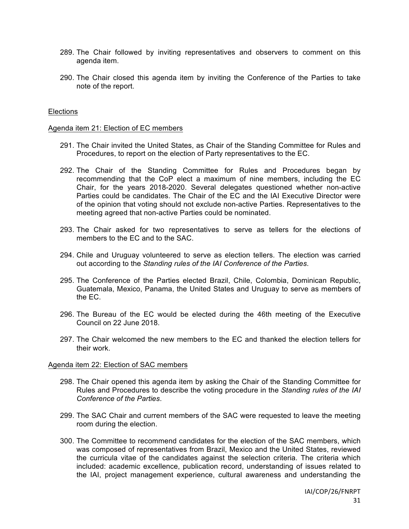- 289. The Chair followed by inviting representatives and observers to comment on this agenda item.
- 290. The Chair closed this agenda item by inviting the Conference of the Parties to take note of the report.

### **Elections**

#### Agenda item 21: Election of EC members

- 291. The Chair invited the United States, as Chair of the Standing Committee for Rules and Procedures, to report on the election of Party representatives to the EC.
- 292. The Chair of the Standing Committee for Rules and Procedures began by recommending that the CoP elect a maximum of nine members, including the EC Chair, for the years 2018-2020. Several delegates questioned whether non-active Parties could be candidates. The Chair of the EC and the IAI Executive Director were of the opinion that voting should not exclude non-active Parties. Representatives to the meeting agreed that non-active Parties could be nominated.
- 293. The Chair asked for two representatives to serve as tellers for the elections of members to the EC and to the SAC.
- 294. Chile and Uruguay volunteered to serve as election tellers. The election was carried out according to the *Standing rules of the IAI Conference of the Parties*.
- 295. The Conference of the Parties elected Brazil, Chile, Colombia, Dominican Republic, Guatemala, Mexico, Panama, the United States and Uruguay to serve as members of the EC.
- 296. The Bureau of the EC would be elected during the 46th meeting of the Executive Council on 22 June 2018.
- 297. The Chair welcomed the new members to the EC and thanked the election tellers for their work.

#### Agenda item 22: Election of SAC members

- 298. The Chair opened this agenda item by asking the Chair of the Standing Committee for Rules and Procedures to describe the voting procedure in the *Standing rules of the IAI Conference of the Parties*.
- 299. The SAC Chair and current members of the SAC were requested to leave the meeting room during the election.
- 300. The Committee to recommend candidates for the election of the SAC members, which was composed of representatives from Brazil, Mexico and the United States, reviewed the curricula vitae of the candidates against the selection criteria. The criteria which included: academic excellence, publication record, understanding of issues related to the IAI, project management experience, cultural awareness and understanding the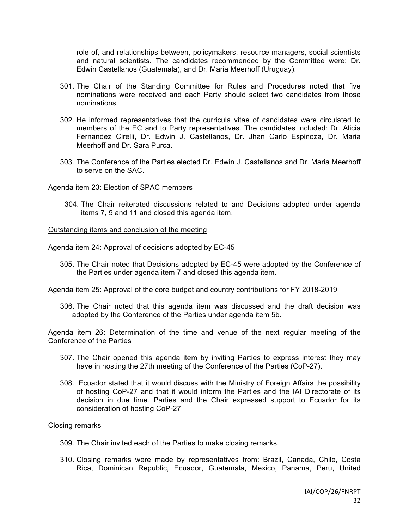role of, and relationships between, policymakers, resource managers, social scientists and natural scientists. The candidates recommended by the Committee were: Dr. Edwin Castellanos (Guatemala), and Dr. Maria Meerhoff (Uruguay).

- 301. The Chair of the Standing Committee for Rules and Procedures noted that five nominations were received and each Party should select two candidates from those nominations.
- 302. He informed representatives that the curricula vitae of candidates were circulated to members of the EC and to Party representatives. The candidates included: Dr. Alicia Fernandez Cirelli, Dr. Edwin J. Castellanos, Dr. Jhan Carlo Espinoza, Dr. Maria Meerhoff and Dr. Sara Purca.
- 303. The Conference of the Parties elected Dr. Edwin J. Castellanos and Dr. Maria Meerhoff to serve on the SAC.

### Agenda item 23: Election of SPAC members

304. The Chair reiterated discussions related to and Decisions adopted under agenda items 7, 9 and 11 and closed this agenda item.

## Outstanding items and conclusion of the meeting

#### Agenda item 24: Approval of decisions adopted by EC-45

305. The Chair noted that Decisions adopted by EC-45 were adopted by the Conference of the Parties under agenda item 7 and closed this agenda item.

#### Agenda item 25: Approval of the core budget and country contributions for FY 2018-2019

306. The Chair noted that this agenda item was discussed and the draft decision was adopted by the Conference of the Parties under agenda item 5b.

Agenda item 26: Determination of the time and venue of the next regular meeting of the Conference of the Parties

- 307. The Chair opened this agenda item by inviting Parties to express interest they may have in hosting the 27th meeting of the Conference of the Parties (CoP-27).
- 308. Ecuador stated that it would discuss with the Ministry of Foreign Affairs the possibility of hosting CoP-27 and that it would inform the Parties and the IAI Directorate of its decision in due time. Parties and the Chair expressed support to Ecuador for its consideration of hosting CoP-27

### Closing remarks

- 309. The Chair invited each of the Parties to make closing remarks.
- 310. Closing remarks were made by representatives from: Brazil, Canada, Chile, Costa Rica, Dominican Republic, Ecuador, Guatemala, Mexico, Panama, Peru, United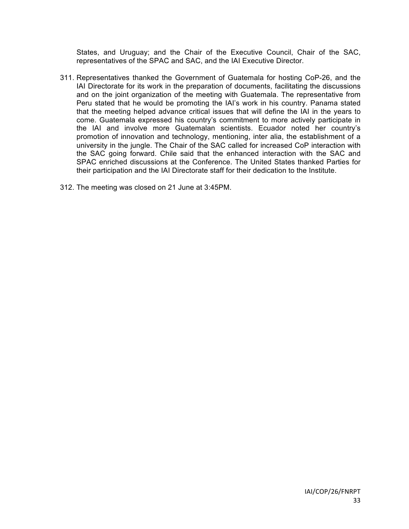States, and Uruguay; and the Chair of the Executive Council, Chair of the SAC, representatives of the SPAC and SAC, and the IAI Executive Director.

- 311. Representatives thanked the Government of Guatemala for hosting CoP-26, and the IAI Directorate for its work in the preparation of documents, facilitating the discussions and on the joint organization of the meeting with Guatemala. The representative from Peru stated that he would be promoting the IAI's work in his country. Panama stated that the meeting helped advance critical issues that will define the IAI in the years to come. Guatemala expressed his country's commitment to more actively participate in the IAI and involve more Guatemalan scientists. Ecuador noted her country's promotion of innovation and technology, mentioning, inter alia, the establishment of a university in the jungle. The Chair of the SAC called for increased CoP interaction with the SAC going forward. Chile said that the enhanced interaction with the SAC and SPAC enriched discussions at the Conference. The United States thanked Parties for their participation and the IAI Directorate staff for their dedication to the Institute.
- 312. The meeting was closed on 21 June at 3:45PM.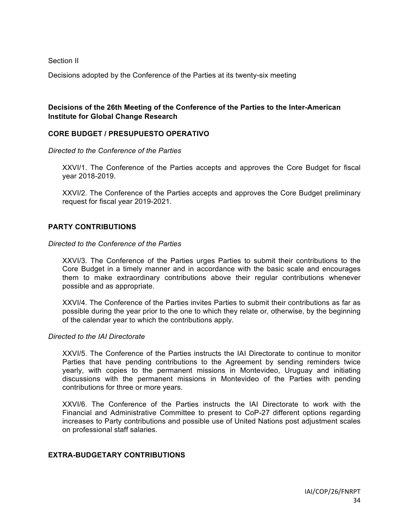Section II

Decisions adopted by the Conference of the Parties at its twenty-six meeting

## **Decisions of the 26th Meeting of the Conference of the Parties to the Inter-American Institute for Global Change Research**

## **CORE BUDGET / PRESUPUESTO OPERATIVO**

*Directed to the Conference of the Parties*

XXVI/1. The Conference of the Parties accepts and approves the Core Budget for fiscal year 2018-2019.

XXVI/2. The Conference of the Parties accepts and approves the Core Budget preliminary request for fiscal year 2019-2021.

## **PARTY CONTRIBUTIONS**

#### *Directed to the Conference of the Parties*

XXVI/3. The Conference of the Parties urges Parties to submit their contributions to the Core Budget in a timely manner and in accordance with the basic scale and encourages them to make extraordinary contributions above their regular contributions whenever possible and as appropriate.

XXVI/4. The Conference of the Parties invites Parties to submit their contributions as far as possible during the year prior to the one to which they relate or, otherwise, by the beginning of the calendar year to which the contributions apply.

#### *Directed to the IAI Directorate*

XXVI/5. The Conference of the Parties instructs the IAI Directorate to continue to monitor Parties that have pending contributions to the Agreement by sending reminders twice yearly, with copies to the permanent missions in Montevideo, Uruguay and initiating discussions with the permanent missions in Montevideo of the Parties with pending contributions for three or more years.

XXVI/6. The Conference of the Parties instructs the IAI Directorate to work with the Financial and Administrative Committee to present to CoP-27 different options regarding increases to Party contributions and possible use of United Nations post adjustment scales on professional staff salaries.

## **EXTRA-BUDGETARY CONTRIBUTIONS**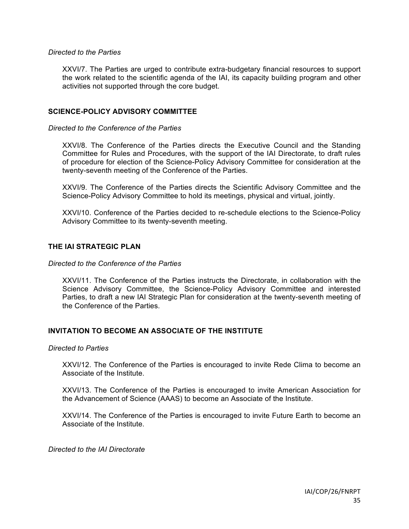### *Directed to the Parties*

XXVI/7. The Parties are urged to contribute extra-budgetary financial resources to support the work related to the scientific agenda of the IAI, its capacity building program and other activities not supported through the core budget.

## **SCIENCE-POLICY ADVISORY COMMITTEE**

## *Directed to the Conference of the Parties*

XXVI/8. The Conference of the Parties directs the Executive Council and the Standing Committee for Rules and Procedures, with the support of the IAI Directorate, to draft rules of procedure for election of the Science-Policy Advisory Committee for consideration at the twenty-seventh meeting of the Conference of the Parties.

XXVI/9. The Conference of the Parties directs the Scientific Advisory Committee and the Science-Policy Advisory Committee to hold its meetings, physical and virtual, jointly.

XXVI/10. Conference of the Parties decided to re-schedule elections to the Science-Policy Advisory Committee to its twenty-seventh meeting.

## **THE IAI STRATEGIC PLAN**

### *Directed to the Conference of the Parties*

XXVI/11. The Conference of the Parties instructs the Directorate, in collaboration with the Science Advisory Committee, the Science-Policy Advisory Committee and interested Parties, to draft a new IAI Strategic Plan for consideration at the twenty-seventh meeting of the Conference of the Parties.

## **INVITATION TO BECOME AN ASSOCIATE OF THE INSTITUTE**

### *Directed to Parties*

XXVI/12. The Conference of the Parties is encouraged to invite Rede Clima to become an Associate of the Institute.

XXVI/13. The Conference of the Parties is encouraged to invite American Association for the Advancement of Science (AAAS) to become an Associate of the Institute.

XXVI/14. The Conference of the Parties is encouraged to invite Future Earth to become an Associate of the Institute.

*Directed to the IAI Directorate*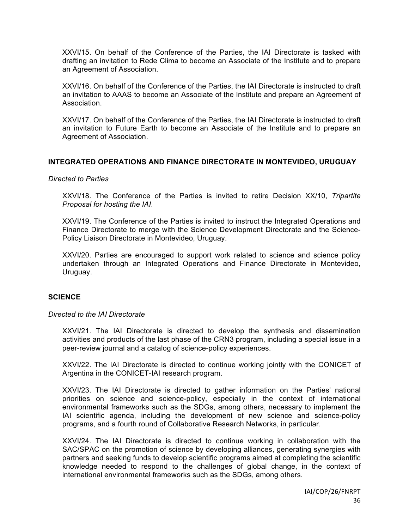XXVI/15. On behalf of the Conference of the Parties, the IAI Directorate is tasked with drafting an invitation to Rede Clima to become an Associate of the Institute and to prepare an Agreement of Association.

XXVI/16. On behalf of the Conference of the Parties, the IAI Directorate is instructed to draft an invitation to AAAS to become an Associate of the Institute and prepare an Agreement of Association.

XXVI/17. On behalf of the Conference of the Parties, the IAI Directorate is instructed to draft an invitation to Future Earth to become an Associate of the Institute and to prepare an Agreement of Association.

## **INTEGRATED OPERATIONS AND FINANCE DIRECTORATE IN MONTEVIDEO, URUGUAY**

### *Directed to Parties*

XXVI/18. The Conference of the Parties is invited to retire Decision XX/10, *Tripartite Proposal for hosting the IAI*.

XXVI/19. The Conference of the Parties is invited to instruct the Integrated Operations and Finance Directorate to merge with the Science Development Directorate and the Science-Policy Liaison Directorate in Montevideo, Uruguay.

XXVI/20. Parties are encouraged to support work related to science and science policy undertaken through an Integrated Operations and Finance Directorate in Montevideo, Uruguay.

### **SCIENCE**

### *Directed to the IAI Directorate*

XXVI/21. The IAI Directorate is directed to develop the synthesis and dissemination activities and products of the last phase of the CRN3 program, including a special issue in a peer-review journal and a catalog of science-policy experiences.

XXVI/22. The IAI Directorate is directed to continue working jointly with the CONICET of Argentina in the CONICET-IAI research program.

XXVI/23. The IAI Directorate is directed to gather information on the Parties' national priorities on science and science-policy, especially in the context of international environmental frameworks such as the SDGs, among others, necessary to implement the IAI scientific agenda, including the development of new science and science-policy programs, and a fourth round of Collaborative Research Networks, in particular.

XXVI/24. The IAI Directorate is directed to continue working in collaboration with the SAC/SPAC on the promotion of science by developing alliances, generating synergies with partners and seeking funds to develop scientific programs aimed at completing the scientific knowledge needed to respond to the challenges of global change, in the context of international environmental frameworks such as the SDGs, among others.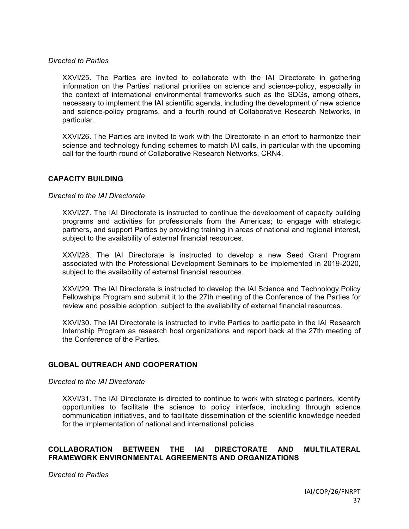### *Directed to Parties*

XXVI/25. The Parties are invited to collaborate with the IAI Directorate in gathering information on the Parties' national priorities on science and science-policy, especially in the context of international environmental frameworks such as the SDGs, among others, necessary to implement the IAI scientific agenda, including the development of new science and science-policy programs, and a fourth round of Collaborative Research Networks, in particular.

XXVI/26. The Parties are invited to work with the Directorate in an effort to harmonize their science and technology funding schemes to match IAI calls, in particular with the upcoming call for the fourth round of Collaborative Research Networks, CRN4.

## **CAPACITY BUILDING**

#### *Directed to the IAI Directorate*

XXVI/27. The IAI Directorate is instructed to continue the development of capacity building programs and activities for professionals from the Americas; to engage with strategic partners, and support Parties by providing training in areas of national and regional interest, subject to the availability of external financial resources.

XXVI/28. The IAI Directorate is instructed to develop a new Seed Grant Program associated with the Professional Development Seminars to be implemented in 2019-2020, subject to the availability of external financial resources.

XXVI/29. The IAI Directorate is instructed to develop the IAI Science and Technology Policy Fellowships Program and submit it to the 27th meeting of the Conference of the Parties for review and possible adoption, subject to the availability of external financial resources.

XXVI/30. The IAI Directorate is instructed to invite Parties to participate in the IAI Research Internship Program as research host organizations and report back at the 27th meeting of the Conference of the Parties.

### **GLOBAL OUTREACH AND COOPERATION**

### *Directed to the IAI Directorate*

XXVI/31. The IAI Directorate is directed to continue to work with strategic partners, identify opportunities to facilitate the science to policy interface, including through science communication initiatives, and to facilitate dissemination of the scientific knowledge needed for the implementation of national and international policies.

## **COLLABORATION BETWEEN THE IAI DIRECTORATE AND MULTILATERAL FRAMEWORK ENVIRONMENTAL AGREEMENTS AND ORGANIZATIONS**

*Directed to Parties*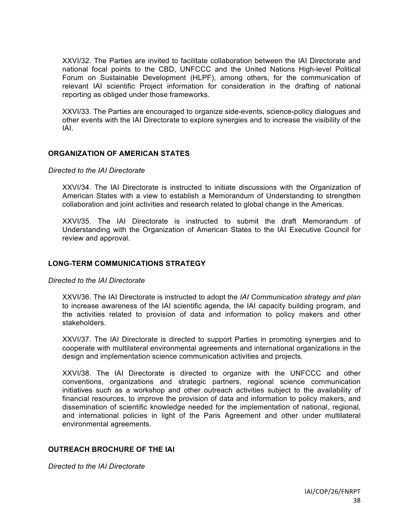XXVI/32. The Parties are invited to facilitate collaboration between the IAI Directorate and national focal points to the CBD, UNFCCC and the United Nations High-level Political Forum on Sustainable Development (HLPF), among others, for the communication of relevant IAI scientific Project information for consideration in the drafting of national reporting as obliged under those frameworks.

XXVI/33. The Parties are encouraged to organize side-events, science-policy dialogues and other events with the IAI Directorate to explore synergies and to increase the visibility of the IAI.

## **ORGANIZATION OF AMERICAN STATES**

#### *Directed to the IAI Directorate*

XXVI/34. The IAI Directorate is instructed to initiate discussions with the Organization of American States with a view to establish a Memorandum of Understanding to strengthen collaboration and joint activities and research related to global change in the Americas.

XXVI/35. The IAI Directorate is instructed to submit the draft Memorandum of Understanding with the Organization of American States to the IAI Executive Council for review and approval.

## **LONG-TERM COMMUNICATIONS STRATEGY**

### *Directed to the IAI Directorate*

XXVI/36. The IAI Directorate is instructed to adopt the *IAI Communication strategy and plan* to increase awareness of the IAI scientific agenda, the IAI capacity building program, and the activities related to provision of data and information to policy makers and other stakeholders.

XXVI/37. The IAI Directorate is directed to support Parties in promoting synergies and to cooperate with multilateral environmental agreements and international organizations in the design and implementation science communication activities and projects.

XXVI/38. The IAI Directorate is directed to organize with the UNFCCC and other conventions, organizations and strategic partners, regional science communication initiatives such as a workshop and other outreach activities subject to the availability of financial resources, to improve the provision of data and information to policy makers, and dissemination of scientific knowledge needed for the implementation of national, regional, and international policies in light of the Paris Agreement and other under multilateral environmental agreements.

## **OUTREACH BROCHURE OF THE IAI**

*Directed to the IAI Directorate*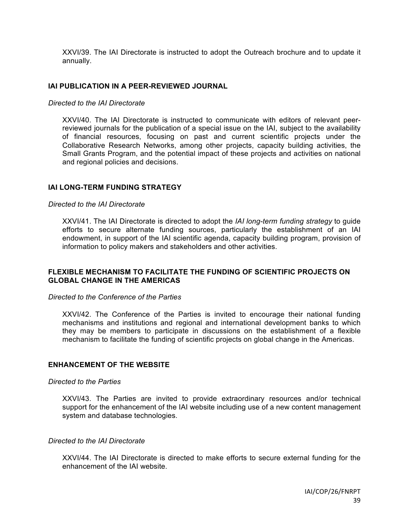XXVI/39. The IAI Directorate is instructed to adopt the Outreach brochure and to update it annually.

## **IAI PUBLICATION IN A PEER-REVIEWED JOURNAL**

### *Directed to the IAI Directorate*

XXVI/40. The IAI Directorate is instructed to communicate with editors of relevant peerreviewed journals for the publication of a special issue on the IAI, subject to the availability of financial resources, focusing on past and current scientific projects under the Collaborative Research Networks, among other projects, capacity building activities, the Small Grants Program, and the potential impact of these projects and activities on national and regional policies and decisions.

## **IAI LONG-TERM FUNDING STRATEGY**

### *Directed to the IAI Directorate*

XXVI/41. The IAI Directorate is directed to adopt the *IAI long-term funding strategy* to guide efforts to secure alternate funding sources, particularly the establishment of an IAI endowment, in support of the IAI scientific agenda, capacity building program, provision of information to policy makers and stakeholders and other activities.

## **FLEXIBLE MECHANISM TO FACILITATE THE FUNDING OF SCIENTIFIC PROJECTS ON GLOBAL CHANGE IN THE AMERICAS**

### *Directed to the Conference of the Parties*

XXVI/42. The Conference of the Parties is invited to encourage their national funding mechanisms and institutions and regional and international development banks to which they may be members to participate in discussions on the establishment of a flexible mechanism to facilitate the funding of scientific projects on global change in the Americas.

## **ENHANCEMENT OF THE WEBSITE**

#### *Directed to the Parties*

XXVI/43. The Parties are invited to provide extraordinary resources and/or technical support for the enhancement of the IAI website including use of a new content management system and database technologies.

## *Directed to the IAI Directorate*

XXVI/44. The IAI Directorate is directed to make efforts to secure external funding for the enhancement of the IAI website.